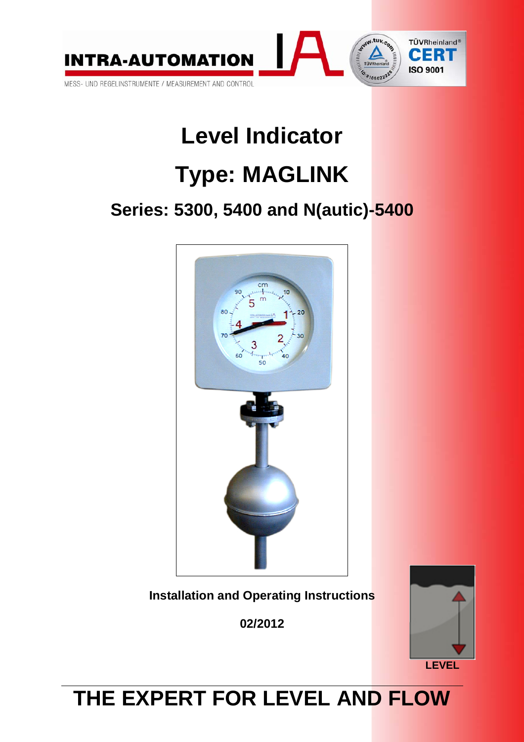

# **Level Indicator**

# **Type: MAGLINK**

# **Series: 5300, 5400 and N(autic)-5400**



**Installation and Operating Instructions** 

**02/2012** 



# **THE EXPERT FOR LEVEL AND FLOW**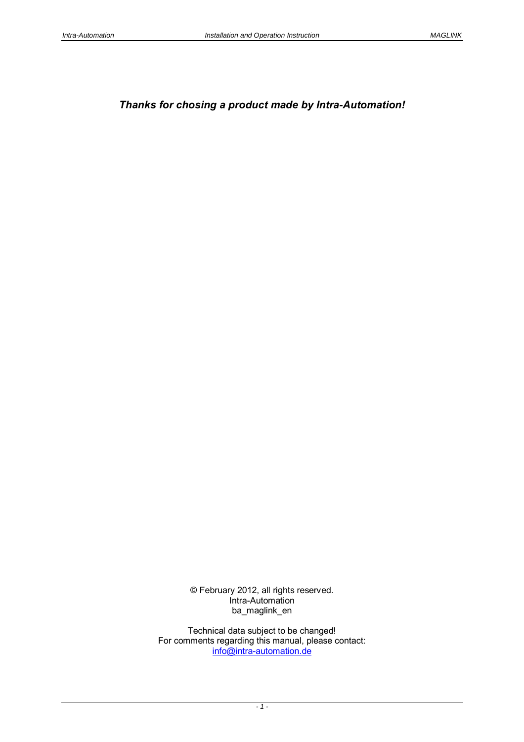# *Thanks for chosing a product made by Intra-Automation!*

© February 2012, all rights reserved. Intra-Automation ba\_maglink\_en

Technical data subject to be changed! For comments regarding this manual, please contact: info@intra-automation.de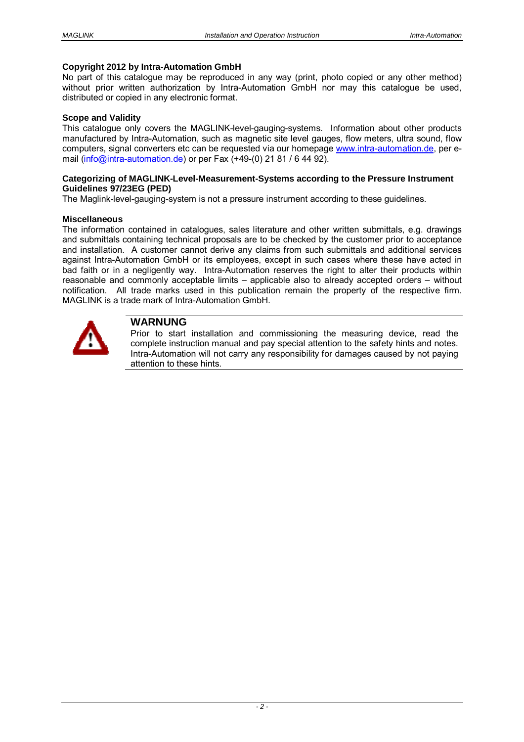#### **Copyright 2012 by Intra-Automation GmbH**

No part of this catalogue may be reproduced in any way (print, photo copied or any other method) without prior written authorization by Intra-Automation GmbH nor may this catalogue be used, distributed or copied in any electronic format.

#### **Scope and Validity**

This catalogue only covers the MAGLINK-level-gauging-systems. Information about other products manufactured by Intra-Automation, such as magnetic site level gauges, flow meters, ultra sound, flow computers, signal converters etc can be requested via our homepage www.intra-automation.de, per email (info@intra-automation.de) or per Fax (+49-(0) 21 81 / 6 44 92).

#### **Categorizing of MAGLINK-Level-Measurement-Systems according to the Pressure Instrument Guidelines 97/23EG (PED)**

The Maglink-level-gauging-system is not a pressure instrument according to these guidelines.

#### **Miscellaneous**

The information contained in catalogues, sales literature and other written submittals, e.g. drawings and submittals containing technical proposals are to be checked by the customer prior to acceptance and installation. A customer cannot derive any claims from such submittals and additional services against Intra-Automation GmbH or its employees, except in such cases where these have acted in bad faith or in a negligently way. Intra-Automation reserves the right to alter their products within reasonable and commonly acceptable limits – applicable also to already accepted orders – without notification. All trade marks used in this publication remain the property of the respective firm. MAGLINK is a trade mark of Intra-Automation GmbH.



# **WARNUNG**

Prior to start installation and commissioning the measuring device, read the complete instruction manual and pay special attention to the safety hints and notes. Intra-Automation will not carry any responsibility for damages caused by not paying attention to these hints.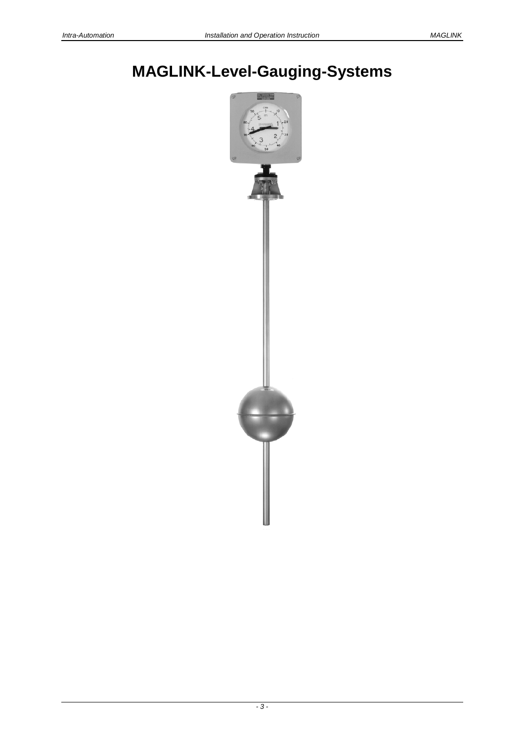# **MAGLINK-Level-Gauging-Systems**

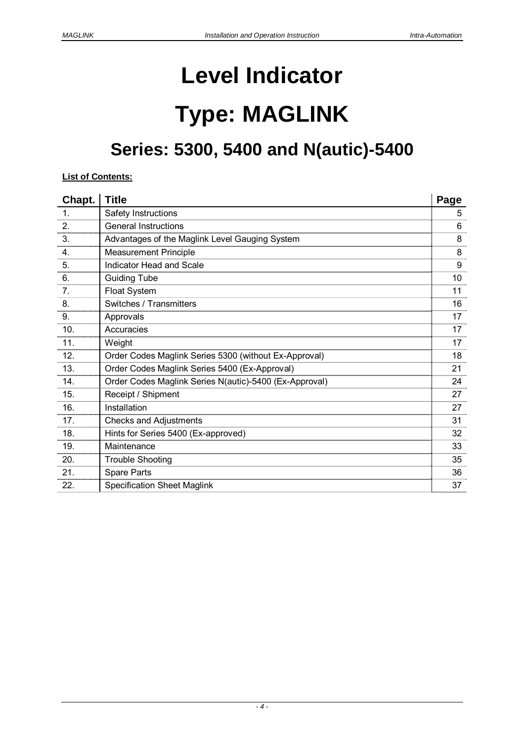# **Level Indicator**

# **Type: MAGLINK**

# **Series: 5300, 5400 and N(autic)-5400**

# **List of Contents:**

| Chapt. | <b>Title</b>                                           | Page |
|--------|--------------------------------------------------------|------|
| 1.     | Safety Instructions                                    | 5    |
| 2.     | <b>General Instructions</b>                            | 6    |
| 3.     | Advantages of the Maglink Level Gauging System         | 8    |
| 4.     | <b>Measurement Principle</b>                           | 8    |
| 5.     | Indicator Head and Scale                               | 9    |
| 6.     | <b>Guiding Tube</b>                                    | 10   |
| 7.     | Float System                                           | 11   |
| 8.     | Switches / Transmitters                                | 16   |
| 9.     | Approvals                                              | 17   |
| 10.    | Accuracies                                             | 17   |
| 11.    | Weight                                                 | 17   |
| 12.    | Order Codes Maglink Series 5300 (without Ex-Approval)  | 18   |
| 13.    | Order Codes Maglink Series 5400 (Ex-Approval)          | 21   |
| 14.    | Order Codes Maglink Series N(autic)-5400 (Ex-Approval) | 24   |
| 15.    | Receipt / Shipment                                     | 27   |
| 16.    | Installation                                           | 27   |
| 17.    | <b>Checks and Adjustments</b>                          | 31   |
| 18.    | Hints for Series 5400 (Ex-approved)                    | 32   |
| 19.    | Maintenance                                            | 33   |
| 20.    | <b>Trouble Shooting</b>                                | 35   |
| 21.    | <b>Spare Parts</b>                                     | 36   |
| 22.    | <b>Specification Sheet Maglink</b>                     | 37   |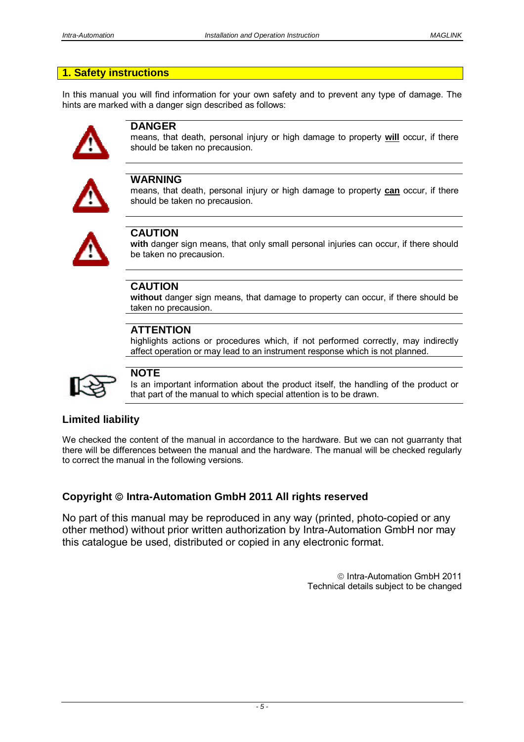# **1. Safety instructions**

In this manual you will find information for your own safety and to prevent any type of damage. The hints are marked with a danger sign described as follows:



## **DANGER**

means, that death, personal injury or high damage to property **will** occur, if there should be taken no precausion.



# **WARNING**

means, that death, personal injury or high damage to property **can** occur, if there should be taken no precausion.



# **CAUTION**

**with** danger sign means, that only small personal injuries can occur, if there should be taken no precausion.

# **CAUTION**

**without** danger sign means, that damage to property can occur, if there should be taken no precausion.

# **ATTENTION**

highlights actions or procedures which, if not performed correctly, may indirectly affect operation or may lead to an instrument response which is not planned.



# **NOTE**

Is an important information about the product itself, the handling of the product or that part of the manual to which special attention is to be drawn.

# **Limited liability**

We checked the content of the manual in accordance to the hardware. But we can not guarranty that there will be differences between the manual and the hardware. The manual will be checked regularly to correct the manual in the following versions.

# **Copyright Intra-Automation GmbH 2011 All rights reserved**

No part of this manual may be reproduced in any way (printed, photo-copied or any other method) without prior written authorization by Intra-Automation GmbH nor may this catalogue be used, distributed or copied in any electronic format.

> Intra-Automation GmbH 2011 Technical details subject to be changed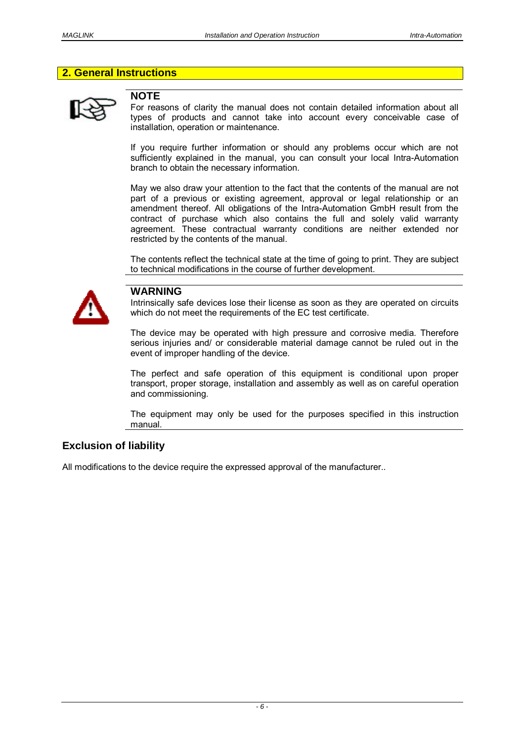# **2. General Instructions**



# **NOTE**

For reasons of clarity the manual does not contain detailed information about all types of products and cannot take into account every conceivable case of installation, operation or maintenance.

If you require further information or should any problems occur which are not sufficiently explained in the manual, you can consult your local Intra-Automation branch to obtain the necessary information.

May we also draw your attention to the fact that the contents of the manual are not part of a previous or existing agreement, approval or legal relationship or an amendment thereof. All obligations of the Intra-Automation GmbH result from the contract of purchase which also contains the full and solely valid warranty agreement. These contractual warranty conditions are neither extended nor restricted by the contents of the manual.

The contents reflect the technical state at the time of going to print. They are subject to technical modifications in the course of further development.



## **WARNING**

Intrinsically safe devices lose their license as soon as they are operated on circuits which do not meet the requirements of the EC test certificate.

The device may be operated with high pressure and corrosive media. Therefore serious injuries and/ or considerable material damage cannot be ruled out in the event of improper handling of the device.

The perfect and safe operation of this equipment is conditional upon proper transport, proper storage, installation and assembly as well as on careful operation and commissioning.

The equipment may only be used for the purposes specified in this instruction manual.

# **Exclusion of liability**

All modifications to the device require the expressed approval of the manufacturer..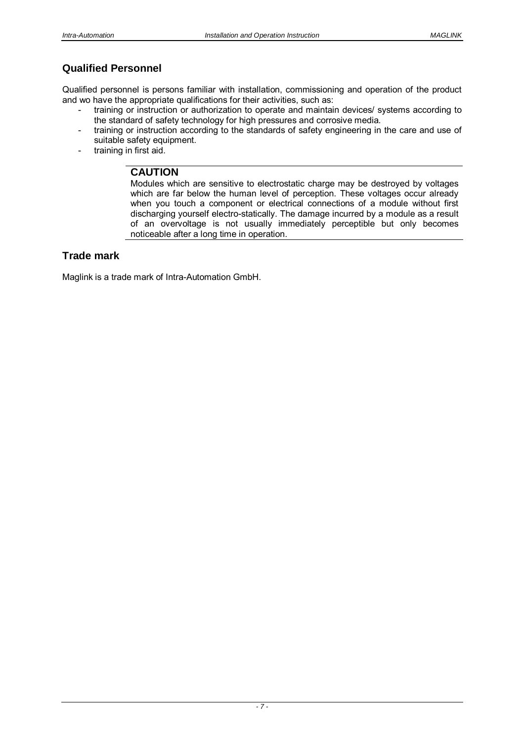# **Qualified Personnel**

Qualified personnel is persons familiar with installation, commissioning and operation of the product and wo have the appropriate qualifications for their activities, such as:

- training or instruction or authorization to operate and maintain devices/ systems according to the standard of safety technology for high pressures and corrosive media.
- training or instruction according to the standards of safety engineering in the care and use of suitable safety equipment.
- training in first aid.

# **CAUTION**

Modules which are sensitive to electrostatic charge may be destroyed by voltages which are far below the human level of perception. These voltages occur already when you touch a component or electrical connections of a module without first discharging yourself electro-statically. The damage incurred by a module as a result of an overvoltage is not usually immediately perceptible but only becomes noticeable after a long time in operation.

# **Trade mark**

Maglink is a trade mark of Intra-Automation GmbH.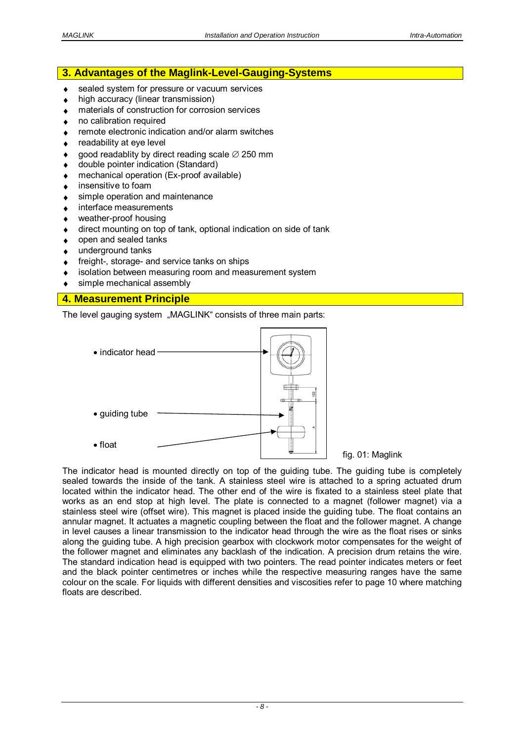# **3. Advantages of the Maglink-Level-Gauging-Systems**

- sealed system for pressure or vacuum services
- high accuracy (linear transmission)
- materials of construction for corrosion services
- no calibration required
- remote electronic indication and/or alarm switches
- readability at eye level
- good readablity by direct reading scale  $\varnothing$  250 mm
- ◆ double pointer indication (Standard)
- mechanical operation (Ex-proof available)
- insensitive to foam
- ◆ simple operation and maintenance
- interface measurements
- weather-proof housing
- direct mounting on top of tank, optional indication on side of tank
- open and sealed tanks
- underground tanks
- ◆ freight-, storage- and service tanks on ships
- isolation between measuring room and measurement system
- simple mechanical assembly

# **4. Measurement Principle**

The level gauging system "MAGLINK" consists of three main parts:



The indicator head is mounted directly on top of the guiding tube. The guiding tube is completely sealed towards the inside of the tank. A stainless steel wire is attached to a spring actuated drum located within the indicator head. The other end of the wire is fixated to a stainless steel plate that works as an end stop at high level. The plate is connected to a magnet (follower magnet) via a stainless steel wire (offset wire). This magnet is placed inside the guiding tube. The float contains an annular magnet. It actuates a magnetic coupling between the float and the follower magnet. A change in level causes a linear transmission to the indicator head through the wire as the float rises or sinks along the guiding tube. A high precision gearbox with clockwork motor compensates for the weight of the follower magnet and eliminates any backlash of the indication. A precision drum retains the wire. The standard indication head is equipped with two pointers. The read pointer indicates meters or feet and the black pointer centimetres or inches while the respective measuring ranges have the same colour on the scale. For liquids with different densities and viscosities refer to page 10 where matching floats are described.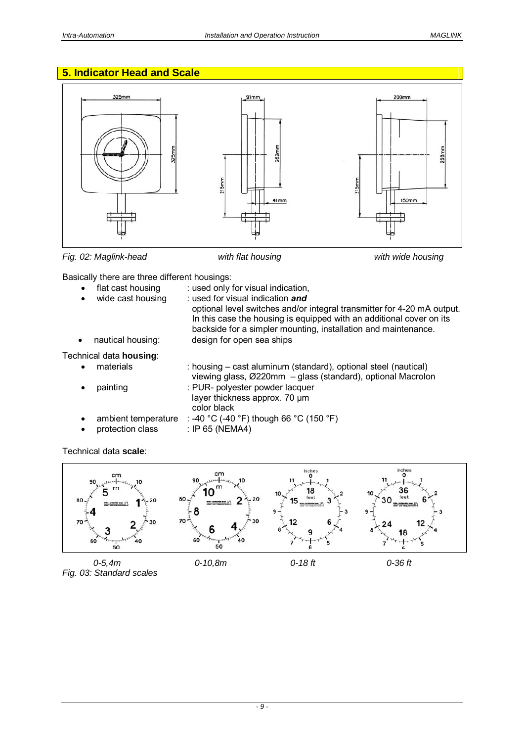# **5. Indicator Head and Scale**



*Fig. 02: Maglink-head with flat housing with wide housing* 



Basically there are three different housings:

| $\bullet$ | flat cast housing<br>wide cast housing  | : used only for visual indication,<br>: used for visual indication and<br>optional level switches and/or integral transmitter for 4-20 mA output.<br>In this case the housing is equipped with an additional cover on its<br>backside for a simpler mounting, installation and maintenance. |
|-----------|-----------------------------------------|---------------------------------------------------------------------------------------------------------------------------------------------------------------------------------------------------------------------------------------------------------------------------------------------|
| $\bullet$ | nautical housing:                       | design for open sea ships                                                                                                                                                                                                                                                                   |
|           | Technical data housing:                 |                                                                                                                                                                                                                                                                                             |
|           | materials                               | : housing – cast aluminum (standard), optional steel (nautical)<br>viewing glass, Ø220mm - glass (standard), optional Macrolon                                                                                                                                                              |
|           | painting                                | : PUR- polyester powder lacquer<br>layer thickness approx. 70 µm<br>color black                                                                                                                                                                                                             |
|           | ambient temperature<br>protection class | : -40 °C (-40 °F) though 66 °C (150 °F)<br>: IP 65 (NEMA4)                                                                                                                                                                                                                                  |

# Technical data **scale**:

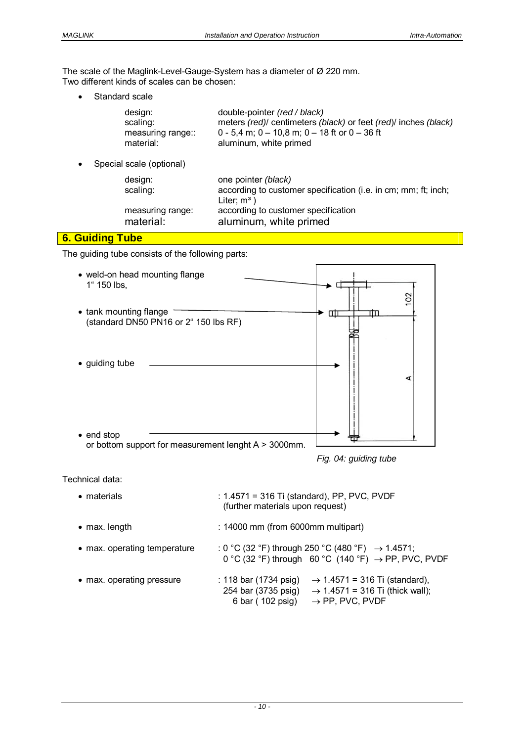The scale of the Maglink-Level-Gauge-System has a diameter of Ø 220 mm. Two different kinds of scales can be chosen:

Standard scale

| design:           | double-pointer (red / black)                                  |
|-------------------|---------------------------------------------------------------|
| scaling:          | meters (red) centimeters (black) or feet (red) inches (black) |
| measuring range:: | 0 - 5,4 m; 0 - 10,8 m; 0 - 18 ft or 0 - 36 ft                 |
| material:         | aluminum, white primed                                        |

• Special scale (optional)

| design:          | one pointer (black)                                            |
|------------------|----------------------------------------------------------------|
| scaling:         | according to customer specification (i.e. in cm; mm; ft; inch; |
|                  | Liter: $m^3$ )                                                 |
| measuring range: | according to customer specification                            |
| material:        | aluminum, white primed                                         |

# **6. Guiding Tube**

The guiding tube consists of the following parts:



*Fig. 04: guiding tube* 

Technical data:

| • materials                  | : 1.4571 = 316 Ti (standard), PP, PVC, PVDF<br>(further materials upon request)                                                                                                          |  |
|------------------------------|------------------------------------------------------------------------------------------------------------------------------------------------------------------------------------------|--|
| $\bullet$ max. length        | : 14000 mm (from 6000mm multipart)                                                                                                                                                       |  |
| • max. operating temperature | : 0 °C (32 °F) through 250 °C (480 °F) $\rightarrow$ 1.4571;<br>0 °C (32 °F) through 60 °C (140 °F) $\rightarrow$ PP, PVC, PVDF                                                          |  |
| • max. operating pressure    | $\rightarrow$ 1.4571 = 316 Ti (standard),<br>: 118 bar (1734 psig)<br>254 bar (3735 psig) $\rightarrow$ 1.4571 = 316 Ti (thick wall);<br>6 bar (102 psig)<br>$\rightarrow$ PP, PVC, PVDF |  |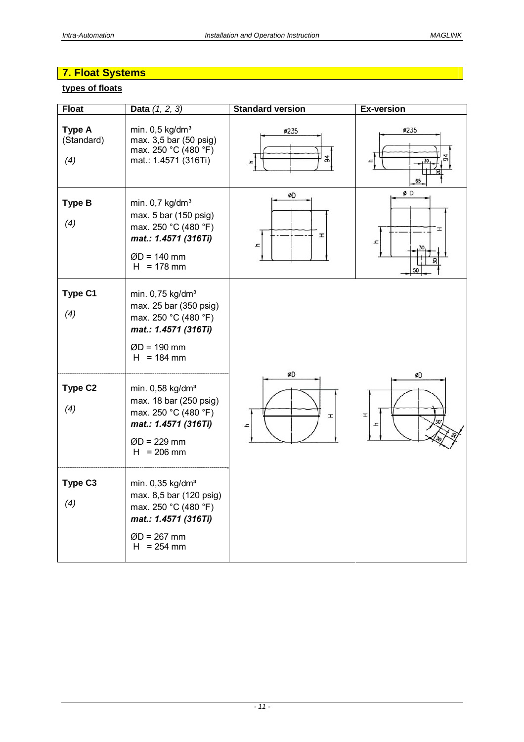# **7. Float Systems**

# **types of floats**

| <b>Float</b>                       | Data $(1, 2, 3)$                                                                                                                         | <b>Standard version</b> | <b>Ex-version</b>   |
|------------------------------------|------------------------------------------------------------------------------------------------------------------------------------------|-------------------------|---------------------|
| <b>Type A</b><br>(Standard)<br>(4) | min. $0,5$ kg/dm <sup>3</sup><br>max. 3,5 bar (50 psig)<br>max. 250 °C (480 °F)<br>mat.: 1.4571 (316Ti)                                  | ø235<br>94              | <b>Ø235</b><br>65   |
| <b>Type B</b><br>(4)               | min. $0.7$ kg/dm <sup>3</sup><br>max. 5 bar (150 psig)<br>max. 250 °C (480 °F)<br>mat.: 1.4571 (316Ti)<br>$ØD = 140$ mm<br>$H = 178$ mm  | øD<br>H<br><b>z</b>     | ØD<br>H<br>h,<br>50 |
| Type C1<br>(4)                     | min. 0,75 kg/dm <sup>3</sup><br>max. 25 bar (350 psig)<br>max. 250 °C (480 °F)<br>mat.: 1.4571 (316Ti)<br>$ØD = 190$ mm<br>$H = 184$ mm  |                         |                     |
| Type C <sub>2</sub><br>(4)         | min. 0,58 kg/dm <sup>3</sup><br>max. 18 bar (250 psig)<br>max. 250 °C (480 °F)<br>mat.: 1.4571 (316Ti)<br>$ØD = 229$ mm<br>$H = 206$ mm  | øD<br>H<br>Ŀ            | øD<br>H             |
| Type C <sub>3</sub><br>(4)         | min. 0,35 kg/dm <sup>3</sup><br>max. 8,5 bar (120 psig)<br>max. 250 °C (480 °F)<br>mat.: 1.4571 (316Ti)<br>$ØD = 267$ mm<br>$H = 254$ mm |                         |                     |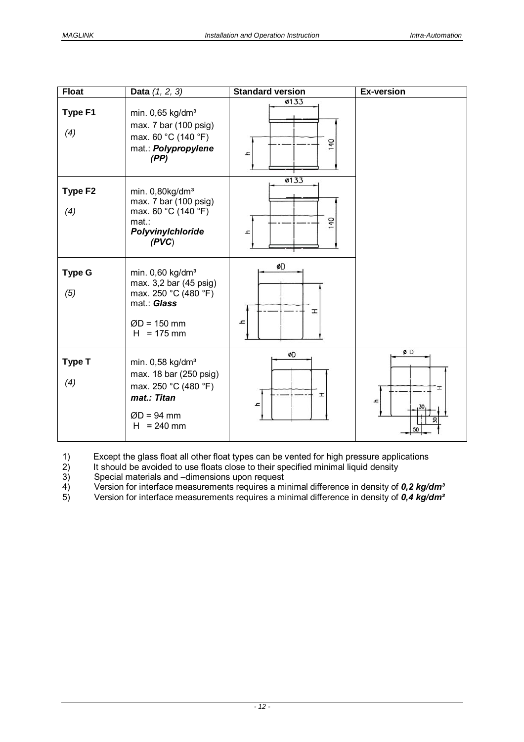| <b>Float</b>   | <b>Data</b> $(1, 2, 3)$                                                                                                          | <b>Standard version</b> | <b>Ex-version</b> |
|----------------|----------------------------------------------------------------------------------------------------------------------------------|-------------------------|-------------------|
| Type F1<br>(4) | min. 0,65 kg/dm <sup>3</sup><br>max. 7 bar (100 psig)<br>max. 60 °C (140 °F)<br>mat.: Polypropylene<br>(PP)                      | ø133<br>140<br>ᅩ        |                   |
| Type F2<br>(4) | min. $0,80$ kg/dm <sup>3</sup><br>max. 7 bar (100 psig)<br>max. 60 °C (140 °F)<br>$mat.$ :<br>Polyvinylchloride<br>(PVC)         | ø133<br>140<br>고        |                   |
| Type G<br>(5)  | min. 0,60 kg/dm <sup>3</sup><br>max. 3,2 bar (45 psig)<br>max. 250 °C (480 °F)<br>mat.: Glass<br>$ØD = 150$ mm<br>$H = 175$ mm   | ØD<br>H<br>ᅩ            |                   |
| Type T<br>(4)  | min. 0,58 kg/dm <sup>3</sup><br>max. 18 bar (250 psig)<br>max. 250 °C (480 °F)<br>mat.: Titan<br>$ØD = 94$ mm<br>$= 240$ mm<br>H | ØD<br>H<br>h            | ØD<br>I<br>ᅩ      |

1) Except the glass float all other float types can be vented for high pressure applications

2) It should be avoided to use floats close to their specified minimal liquid density

2) It should be avoided to use floats close to their sp<br>3) Special materials and –dimensions upon request<br>4) Version for interface measurements requires a mi<br>3) Version for interface measurements requires a mi 4) Version for interface measurements requires a minimal difference in density of *0,2 kg/dm³*

5) Version for interface measurements requires a minimal difference in density of *0,4 kg/dm³*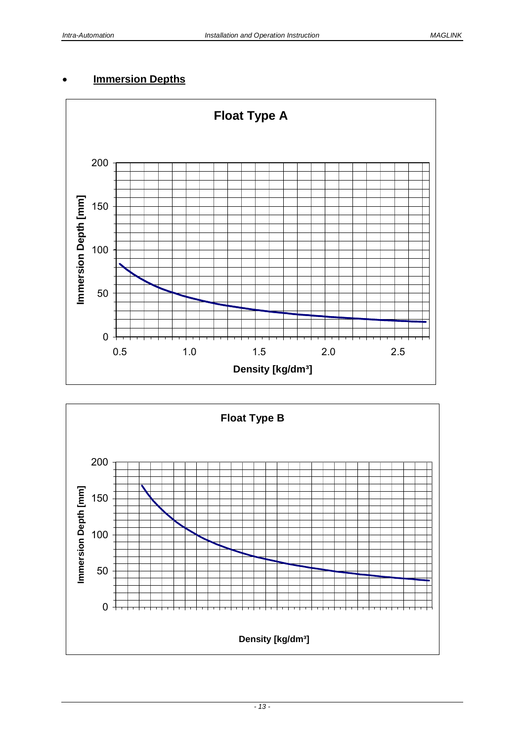# **Immersion Depths**



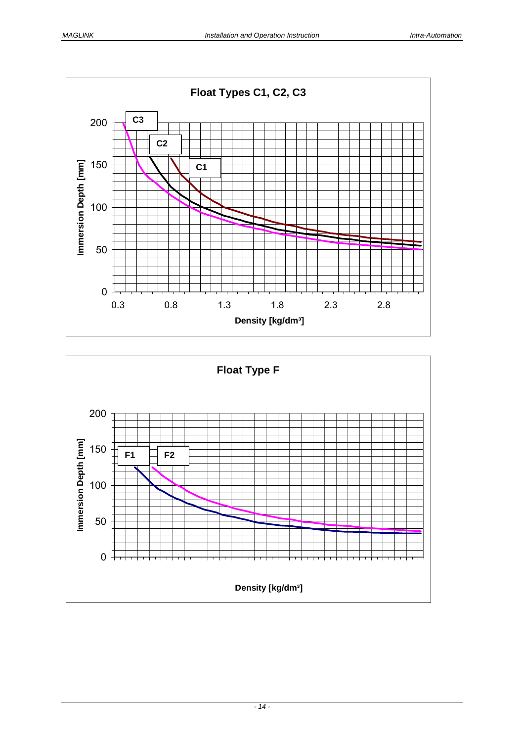

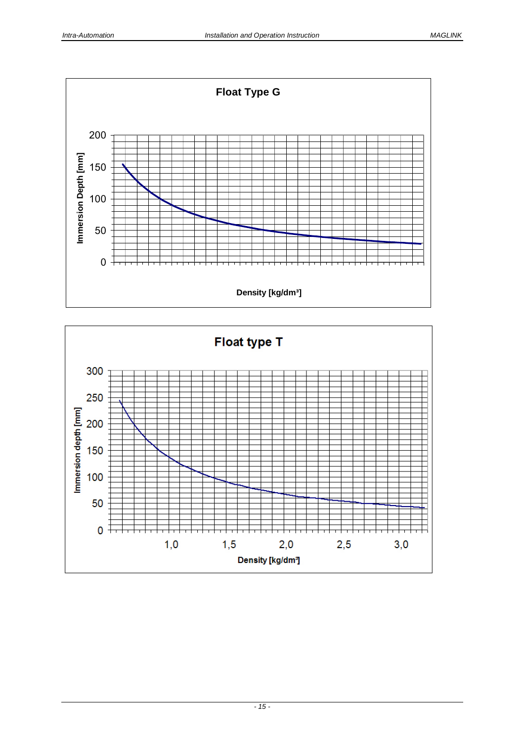

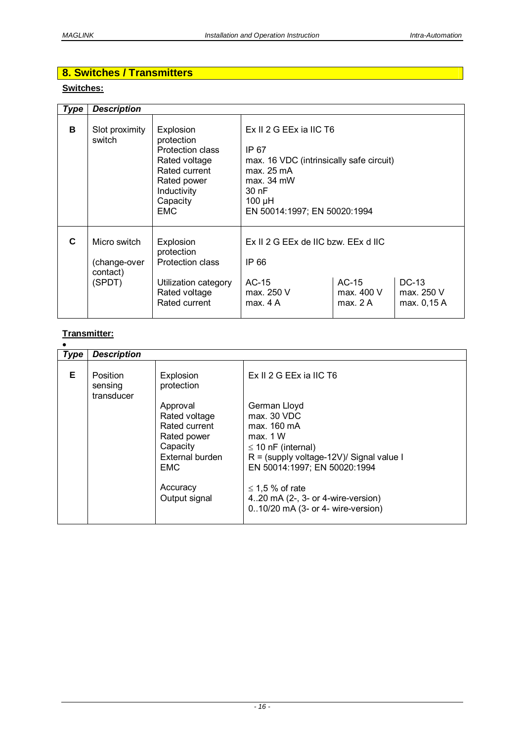# **8. Switches / Transmitters**

# **Switches:**

| <b>Type</b> | <b>Description</b>                                 |                                                                                                                                 |                                                                                                                                                                 |                                             |                                    |  |
|-------------|----------------------------------------------------|---------------------------------------------------------------------------------------------------------------------------------|-----------------------------------------------------------------------------------------------------------------------------------------------------------------|---------------------------------------------|------------------------------------|--|
| в           | Slot proximity<br>switch                           | Explosion<br>protection<br>Protection class<br>Rated voltage<br>Rated current<br>Rated power<br>Inductivity<br>Capacity<br>EMC. | $Ex II 2 G EEx$ ia IIC T6<br>IP 67<br>max. 16 VDC (intrinsically safe circuit)<br>max. 25 mA<br>$max. 34$ mW<br>30 nF<br>100 µH<br>EN 50014:1997; EN 50020:1994 |                                             |                                    |  |
| C           | Micro switch<br>(change-over<br>contact)<br>(SPDT) | Explosion<br>protection<br>Protection class<br>Utilization category<br>Rated voltage<br>Rated current                           | Ex II 2 G EEx de IIC bzw. EEx d IIC<br>IP 66<br>$AC-15$<br>max. 250 V<br>max. 4A                                                                                | $AC-15$<br>max. 400 V<br>max. $2 \text{ A}$ | DC-13<br>max. 250 V<br>max. 0,15 A |  |

# **Transmitter:**

| Type | <b>Description</b>                |                                                                                                                                     |                                                                                                                                                                                                                                                                   |
|------|-----------------------------------|-------------------------------------------------------------------------------------------------------------------------------------|-------------------------------------------------------------------------------------------------------------------------------------------------------------------------------------------------------------------------------------------------------------------|
| Е    | Position<br>sensing<br>transducer | Explosion<br>protection                                                                                                             | $Fx$ $I1$ $2$ $G$ $FFx$ $ia$ $I1C$ $T6$                                                                                                                                                                                                                           |
|      |                                   | Approval<br>Rated voltage<br>Rated current<br>Rated power<br>Capacity<br>External burden<br><b>EMC</b><br>Accuracy<br>Output signal | German Lloyd<br>max. 30 VDC<br>max. 160 mA<br>max. 1 W<br>$\leq$ 10 nF (internal)<br>$R =$ (supply voltage-12V)/ Signal value I<br>EN 50014:1997; EN 50020:1994<br>$\leq$ 1,5 % of rate<br>420 mA (2-, 3- or 4-wire-version)<br>010/20 mA (3- or 4- wire-version) |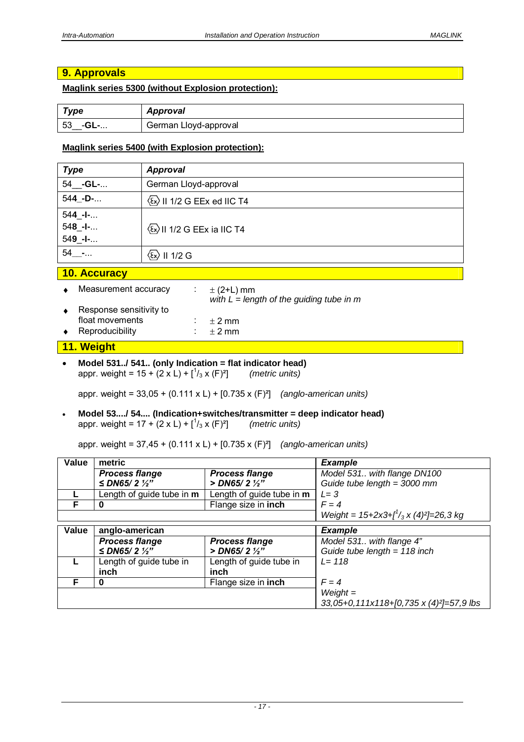# **9. Approvals**

## **Maglink series 5300 (without Explosion protection):**

| <b>Type</b>           | Approval              |
|-----------------------|-----------------------|
| 53<br>ີ -GL- <b>-</b> | German Lloyd-approval |

## **Maglink series 5400 (with Explosion protection):**

| <b>Type</b>                           | <b>Approval</b>                                           |  |
|---------------------------------------|-----------------------------------------------------------|--|
| 54_ <b>-GL-</b>                       | German Lloyd-approval                                     |  |
| 544_-D-                               | $\langle \overline{\xi_x} \rangle$ II 1/2 G EEx ed IIC T4 |  |
| $544 - I-.$<br>$548 - -$<br>$549 - -$ | $\langle \xi_x \rangle$ II 1/2 G EEx ia IIC T4            |  |
| 54 -                                  | $\langle \xi_x \rangle$ II 1/2 G                          |  |

#### **10. Accuracy**

|           | 11. Weight              |  |                                                              |  |
|-----------|-------------------------|--|--------------------------------------------------------------|--|
| $\bullet$ | Reproducibility         |  | $+2$ mm                                                      |  |
|           | float movements         |  | $+2$ mm                                                      |  |
|           | Response sensitivity to |  |                                                              |  |
|           | Measurement accuracy    |  | $\pm$ (2+L) mm<br>with $L = length$ of the guiding tube in m |  |

#### **Model 531../ 541.. (only Indication = flat indicator head)** appr. weight =  $15 + (2 \times L) + \binom{1}{3} \times (F)^2$ /3 x (F)²] *(metric units)*

appr. weight = 33,05 + (0.111 x L) + [0.735 x (F)²] *(anglo-american units)* 

 **Model 53..../ 54.... (Indication+switches/transmitter = deep indicator head)** appr. weight =  $17 + (2 \times L) + \binom{1}{3} \times (F)^2$ /3 x (F)²] *(metric units)*

appr. weight = 37,45 + (0.111 x L) + [0.735 x (F)²] *(anglo-american units)* 

| Value | metric                        |                                       | <b>Example</b>                                       |
|-------|-------------------------------|---------------------------------------|------------------------------------------------------|
|       | <b>Process flange</b>         | <b>Process flange</b>                 | Model 531 with flange DN100                          |
|       | $\leq$ DN65/2 $\frac{1}{2}$ " | $>$ DN65/2 $\frac{1}{2}$ "            | Guide tube length = $3000$ mm                        |
|       | Length of guide tube in $m$   | Length of guide tube in m             | $L = 3$                                              |
| F     |                               | Flange size in inch                   | $F = 4$                                              |
|       |                               | Weight = $15+2x3+f^1/3x(4)^2=26,3 kg$ |                                                      |
| Value | anglo-american                |                                       | <b>Example</b>                                       |
|       | <b>Process flange</b>         | <b>Process flange</b>                 | Model 531 with flange 4"                             |
|       | ≤ DN65/2 $\frac{1}{2}$ "      | $>$ DN65/2 $\frac{1}{2}$ "            | Guide tube length = $118$ inch                       |
|       | Length of guide tube in       | Length of guide tube in               | $L = 118$                                            |
|       | inch                          | inch                                  |                                                      |
|       |                               | Flange size in inch                   | $F = 4$                                              |
|       |                               |                                       | $Weight =$                                           |
|       |                               |                                       | 33,05+0,111x118+[0,735 x (4) <sup>2</sup> ]=57,9 lbs |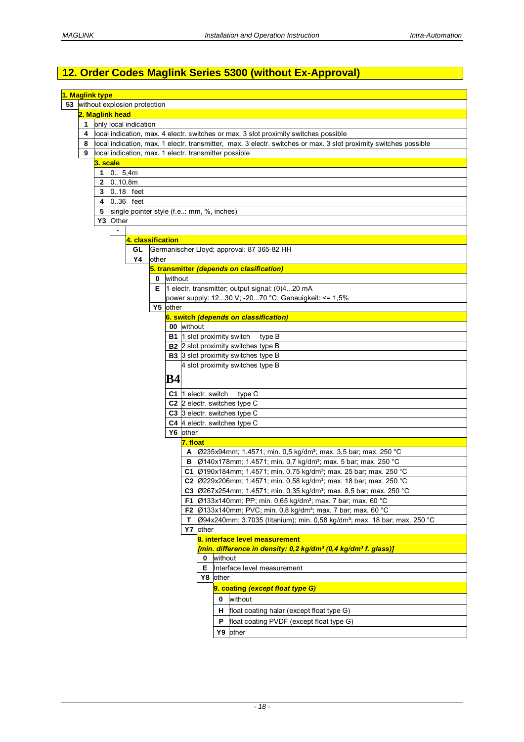# **12. Order Codes Maglink Series 5300 (without Ex-Approval)**

|                                                    | 1. Maglink type                                                                      |                |                                                       |       |          |            |                     |         |                                                                                                                  |
|----------------------------------------------------|--------------------------------------------------------------------------------------|----------------|-------------------------------------------------------|-------|----------|------------|---------------------|---------|------------------------------------------------------------------------------------------------------------------|
|                                                    |                                                                                      |                |                                                       |       |          |            |                     |         |                                                                                                                  |
| 53 without explosion protection<br>2. Maglink head |                                                                                      |                |                                                       |       |          |            |                     |         |                                                                                                                  |
| 1<br>only local indication                         |                                                                                      |                |                                                       |       |          |            |                     |         |                                                                                                                  |
|                                                    |                                                                                      |                |                                                       |       |          |            |                     |         |                                                                                                                  |
| 4                                                  | local indication, max. 4 electr. switches or max. 3 slot proximity switches possible |                |                                                       |       |          |            |                     |         |                                                                                                                  |
| 8                                                  |                                                                                      |                |                                                       |       |          |            |                     |         | local indication, max. 1 electr. transmitter, max. 3 electr. switches or max. 3 slot proximity switches possible |
| 9                                                  |                                                                                      |                | local indication, max. 1 electr. transmitter possible |       |          |            |                     |         |                                                                                                                  |
|                                                    | 3. scale                                                                             |                |                                                       |       |          |            |                     |         |                                                                                                                  |
|                                                    | 1                                                                                    | 0.5,4m         |                                                       |       |          |            |                     |         |                                                                                                                  |
|                                                    | 2                                                                                    | 0.10,8m        |                                                       |       |          |            |                     |         |                                                                                                                  |
|                                                    | 3                                                                                    | 0.18 feet      |                                                       |       |          |            |                     |         |                                                                                                                  |
|                                                    | 4                                                                                    | $0.36$ feet    |                                                       |       |          |            |                     |         |                                                                                                                  |
|                                                    | 5                                                                                    |                | single pointer style (f.e: mm, %, inches)             |       |          |            |                     |         |                                                                                                                  |
|                                                    |                                                                                      | Y3 Other       |                                                       |       |          |            |                     |         |                                                                                                                  |
|                                                    |                                                                                      | $\blacksquare$ |                                                       |       |          |            |                     |         |                                                                                                                  |
|                                                    |                                                                                      |                | 4. classification                                     |       |          |            |                     |         |                                                                                                                  |
|                                                    |                                                                                      |                | GL                                                    |       |          |            |                     |         | Germanischer Lloyd; approval: 87 365-82 HH                                                                       |
|                                                    |                                                                                      |                | Y4                                                    | other |          |            |                     |         |                                                                                                                  |
|                                                    |                                                                                      |                |                                                       |       |          |            |                     |         | 5. transmitter (depends on clasification)                                                                        |
|                                                    |                                                                                      |                |                                                       | 0     | without  |            |                     |         |                                                                                                                  |
|                                                    |                                                                                      |                |                                                       |       |          |            |                     |         | <b>E</b> $\vert$ 1 electr. transmitter; output signal: (0)420 mA                                                 |
|                                                    |                                                                                      |                |                                                       |       |          |            |                     |         | power supply: 1230 V; -2070 °C; Genauigkeit: <= 1,5%                                                             |
|                                                    |                                                                                      |                |                                                       |       | Y5 other |            |                     |         |                                                                                                                  |
|                                                    |                                                                                      |                |                                                       |       |          |            |                     |         |                                                                                                                  |
|                                                    |                                                                                      |                |                                                       |       |          |            |                     |         | 6. switch (depends on classification)                                                                            |
|                                                    |                                                                                      |                |                                                       |       |          | 00 without |                     |         |                                                                                                                  |
|                                                    |                                                                                      |                |                                                       |       |          |            |                     |         | <b>B1</b> 1 slot proximity switch<br>type B                                                                      |
|                                                    |                                                                                      |                |                                                       |       |          |            |                     |         | <b>B2</b> 2 slot proximity switches type B                                                                       |
|                                                    |                                                                                      |                |                                                       |       |          |            |                     |         | <b>B3</b> 3 slot proximity switches type B                                                                       |
|                                                    |                                                                                      |                |                                                       |       |          |            |                     |         | 4 slot proximity switches type B                                                                                 |
|                                                    |                                                                                      |                |                                                       |       | B4       |            |                     |         |                                                                                                                  |
|                                                    |                                                                                      |                |                                                       |       |          |            |                     |         |                                                                                                                  |
|                                                    |                                                                                      |                |                                                       |       |          |            | C1 1 electr. switch |         | type C                                                                                                           |
|                                                    |                                                                                      |                |                                                       |       |          |            |                     |         | C2 2 electr. switches type C                                                                                     |
|                                                    |                                                                                      |                |                                                       |       |          |            |                     |         | C3 3 electr. switches type C                                                                                     |
|                                                    |                                                                                      |                |                                                       |       |          |            |                     |         | C4 4 electr. switches type C                                                                                     |
|                                                    |                                                                                      |                |                                                       |       |          | Y6 other   |                     |         |                                                                                                                  |
|                                                    |                                                                                      |                |                                                       |       |          | 7. float   |                     |         |                                                                                                                  |
|                                                    |                                                                                      |                |                                                       |       |          |            |                     |         | A  Ø235x94mm; 1.4571; min. 0,5 kg/dm <sup>3</sup> ; max. 3,5 bar; max. 250 °C                                    |
|                                                    |                                                                                      |                |                                                       |       |          |            |                     |         | <b>B</b>   Ø140x178mm; 1.4571; min. 0,7 kg/dm <sup>3</sup> ; max. 5 bar; max. 250 °C                             |
|                                                    |                                                                                      |                |                                                       |       |          |            |                     |         | C1 $\varphi$ 190x184mm; 1.4571; min. 0,75 kg/dm <sup>3</sup> ; max. 25 bar; max. 250 °C                          |
|                                                    |                                                                                      |                |                                                       |       |          |            |                     |         | C2 229x206mm; 1.4571; min. 0,58 kg/dm <sup>3</sup> ; max. 18 bar; max. 250 °C                                    |
|                                                    |                                                                                      |                |                                                       |       |          |            |                     |         | C3 $\varphi$ 267x254mm; 1.4571; min. 0,35 kg/dm <sup>3</sup> ; max. 8,5 bar; max. 250 °C                         |
|                                                    |                                                                                      |                |                                                       |       |          |            |                     |         | F1  Ø133x140mm; PP; min. 0,65 kg/dm <sup>3</sup> ; max. 7 bar; max. 60 °C                                        |
|                                                    |                                                                                      |                |                                                       |       |          |            |                     |         | F2  Ø133x140mm; PVC; min. 0,8 kg/dm <sup>3</sup> ; max. 7 bar; max. 60 °C                                        |
|                                                    |                                                                                      |                |                                                       |       |          | т.         |                     |         | Ø94x240mm; 3.7035 (titanium); min. 0,58 kg/dm <sup>3</sup> ; max. 18 bar; max. 250 °C                            |
|                                                    |                                                                                      |                |                                                       |       |          |            | Y7 other            |         |                                                                                                                  |
|                                                    |                                                                                      |                |                                                       |       |          |            |                     |         | 8. interface level measurement                                                                                   |
|                                                    |                                                                                      |                |                                                       |       |          |            |                     |         |                                                                                                                  |
|                                                    |                                                                                      |                |                                                       |       |          |            |                     |         | [min. difference in density: 0,2 kg/dm <sup>3</sup> (0,4 kg/dm <sup>3</sup> f. glass)]                           |
|                                                    |                                                                                      |                |                                                       |       |          |            | 0                   | without |                                                                                                                  |
|                                                    | Interface level measurement<br>Е                                                     |                |                                                       |       |          |            |                     |         |                                                                                                                  |
|                                                    | Y8 other                                                                             |                |                                                       |       |          |            |                     |         |                                                                                                                  |
|                                                    |                                                                                      |                |                                                       |       |          |            |                     |         | 9. coating (except float type G)                                                                                 |
|                                                    |                                                                                      |                |                                                       |       |          |            |                     | 0       | without                                                                                                          |
|                                                    |                                                                                      |                |                                                       |       |          |            |                     | н.      | float coating halar (except float type G)                                                                        |
|                                                    |                                                                                      |                |                                                       |       |          |            |                     | P       | float coating PVDF (except float type G)                                                                         |
|                                                    |                                                                                      |                |                                                       |       |          |            |                     |         |                                                                                                                  |
|                                                    |                                                                                      |                |                                                       |       |          |            |                     |         | Y9 other                                                                                                         |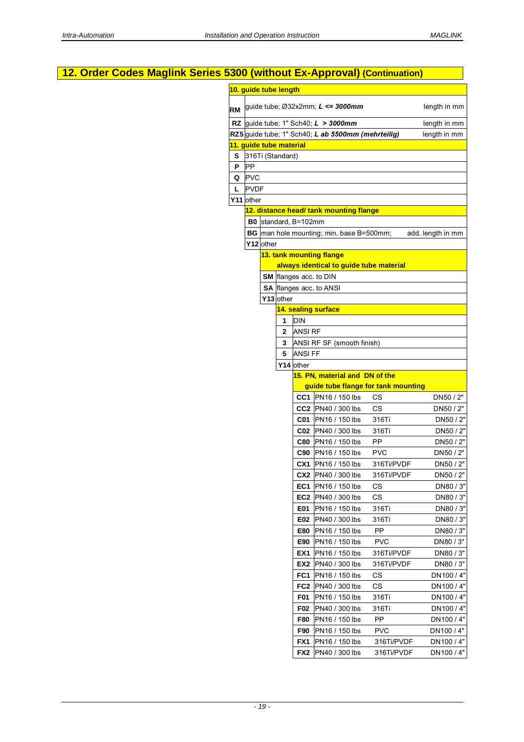|           |             |           |                         |                | 12. Order Codes Maglink Series 5300 (without Ex-Approval) (Continuation) |            |                   |
|-----------|-------------|-----------|-------------------------|----------------|--------------------------------------------------------------------------|------------|-------------------|
|           |             |           | 10. guide tube length   |                |                                                                          |            |                   |
| <b>RM</b> |             |           |                         |                | guide tube; Ø32x2mm; L <= 3000mm                                         |            | length in mm      |
|           |             |           |                         |                | RZ guide tube; 1" Sch40; $L > 3000$ mm                                   |            | length in mm      |
|           |             |           |                         |                | RZ5 guide tube; 1" Sch40; L ab 5500mm (mehrteilig)                       |            | length in mm      |
|           |             |           | 11. guide tube material |                |                                                                          |            |                   |
| S.        |             |           | 316Ti (Standard)        |                |                                                                          |            |                   |
| P         | <b>PP</b>   |           |                         |                |                                                                          |            |                   |
| Q         | <b>PVC</b>  |           |                         |                |                                                                          |            |                   |
| L         | <b>PVDF</b> |           |                         |                |                                                                          |            |                   |
|           | Y11 other   |           |                         |                |                                                                          |            |                   |
|           |             |           |                         |                | 12. distance head/ tank mounting flange                                  |            |                   |
|           |             |           | B0 standard, B=102mm    |                |                                                                          |            |                   |
|           |             |           |                         |                | <b>BG</b> man hole mounting; min. base B=500mm;                          |            | add. length in mm |
|           |             | Y12 other |                         |                |                                                                          |            |                   |
|           |             |           |                         |                | 13. tank mounting flange                                                 |            |                   |
|           |             |           |                         |                | always identical to guide tube material                                  |            |                   |
|           |             |           |                         |                | SM flanges acc. to DIN                                                   |            |                   |
|           |             |           |                         |                | <b>SA flanges acc. to ANSI</b>                                           |            |                   |
|           |             |           | Y13 other               |                |                                                                          |            |                   |
|           |             |           |                         |                | 14. sealing surface                                                      |            |                   |
|           |             |           | 1                       | <b>DIN</b>     |                                                                          |            |                   |
|           |             |           | $\mathbf{2}$            | <b>ANSI RF</b> |                                                                          |            |                   |
|           |             |           | 3                       |                | ANSI RF SF (smooth finish)                                               |            |                   |
|           |             |           | 5                       | <b>ANSI FF</b> |                                                                          |            |                   |
|           |             |           | Y14 other               |                |                                                                          |            |                   |
|           |             |           |                         |                | 15. PN, material and DN of the<br>guide tube flange for tank mounting    |            |                   |
|           |             |           |                         |                | <b>CC1</b> PN16 / 150 lbs                                                | СS         | DN50 / 2"         |
|           |             |           |                         |                | CC2 PN40 / 300 lbs                                                       | <b>CS</b>  | DN50 / 2"         |
|           |             |           |                         |                | <b>C01</b> PN16 / 150 lbs                                                | 316Ti      | DN50 / 2"         |
|           |             |           |                         |                | C02 PN40 / 300 lbs                                                       | 316Ti      | DN50 / 2"         |
|           |             |           |                         |                | C80 PN16 / 150 lbs                                                       | ${\sf PP}$ | DN50 / 2"         |
|           |             |           |                         |                | <b>C90</b> PN16 / 150 lbs                                                | <b>PVC</b> | DN50 / 2"         |
|           |             |           |                         |                | CX1 PN16 / 150 lbs                                                       | 316Ti/PVDF | DN50 / 2"         |
|           |             |           |                         |                | <b>CX2</b>   PN40 / 300 lbs                                              | 316Ti/PVDF | DN50 / 2"         |
|           |             |           |                         | EC1            | <b>PN16 / 150 lbs</b>                                                    | СS         | DN80 / 3"         |
|           |             |           |                         |                | <b>EC2</b>   PN40 / 300 lbs                                              | CS         | DN80 / 3"         |
|           |             |           |                         | E01            | PN16 / 150 lbs                                                           | 316Ti      | DN80 / 3"         |
|           |             |           |                         | E02            | PN40 / 300 lbs                                                           | 316Ti      | DN80 / 3"         |
|           |             |           |                         | E80            | PN16 / 150 lbs                                                           | PP         | DN80 / 3"         |
|           |             |           |                         | E90            | PN16 / 150 lbs                                                           | <b>PVC</b> | DN80 / 3"         |
|           |             |           |                         | EX1            | PN16 / 150 lbs                                                           | 316Ti/PVDF | DN80 / 3"         |
|           |             |           |                         | EX2            | PN40 / 300 lbs                                                           | 316Ti/PVDF | DN80 / 3"         |
|           |             |           |                         | FC1            | <b>PN16 / 150 lbs</b>                                                    | CS         | DN100 / 4"        |
|           |             |           |                         |                | <b>FC2</b>  PN40 / 300 lbs                                               | CS         | DN100 / 4"        |
|           |             |           |                         | F01            | PN16 / 150 lbs                                                           | 316Ti      | DN100 / 4"        |
|           |             |           |                         | F02            | PN40 / 300 lbs                                                           | 316Ti      | DN100 / 4"        |
|           |             |           |                         | F80            | PN16 / 150 lbs                                                           | PP         | DN100 / 4"        |
|           |             |           |                         | F90            | PN16 / 150 lbs                                                           | <b>PVC</b> | DN100 / 4"        |
|           |             |           |                         | FX1            | PN16 / 150 lbs                                                           | 316Ti/PVDF | DN100 / 4"        |
|           |             |           |                         |                | <b>FX2</b> PN40 / 300 lbs                                                | 316Ti/PVDF | DN100 / 4"        |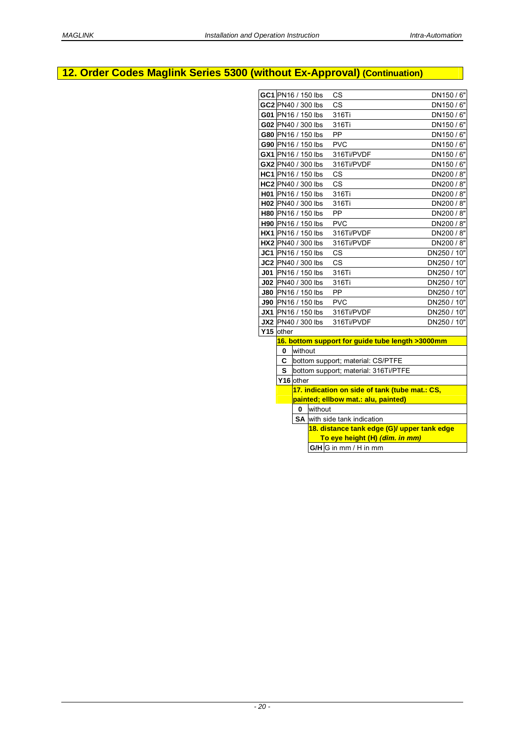# **12. Order Codes Maglink Series 5300 (without Ex-Approval) (Continuation)**

|          |              | GC1 PN16 / 150 lbs | CS                                                                                                                                                                                                                                                                                                                                                                                                                                                                                                | DN150/6"                                                                                                                                                                                                                                                                                                                   |
|----------|--------------|--------------------|---------------------------------------------------------------------------------------------------------------------------------------------------------------------------------------------------------------------------------------------------------------------------------------------------------------------------------------------------------------------------------------------------------------------------------------------------------------------------------------------------|----------------------------------------------------------------------------------------------------------------------------------------------------------------------------------------------------------------------------------------------------------------------------------------------------------------------------|
|          |              |                    |                                                                                                                                                                                                                                                                                                                                                                                                                                                                                                   |                                                                                                                                                                                                                                                                                                                            |
|          |              | GC2 PN40 / 300 lbs | CS                                                                                                                                                                                                                                                                                                                                                                                                                                                                                                | DN150 / 6"                                                                                                                                                                                                                                                                                                                 |
|          |              | G01 PN16 / 150 lbs | 316Ti                                                                                                                                                                                                                                                                                                                                                                                                                                                                                             | DN150/6"                                                                                                                                                                                                                                                                                                                   |
|          |              | G02 PN40 / 300 lbs | 316Ti                                                                                                                                                                                                                                                                                                                                                                                                                                                                                             | DN150 / 6"                                                                                                                                                                                                                                                                                                                 |
|          |              |                    | PP                                                                                                                                                                                                                                                                                                                                                                                                                                                                                                | DN150/6"                                                                                                                                                                                                                                                                                                                   |
|          |              |                    | <b>PVC</b>                                                                                                                                                                                                                                                                                                                                                                                                                                                                                        | DN150/6"                                                                                                                                                                                                                                                                                                                   |
|          |              |                    | 316Ti/PVDF                                                                                                                                                                                                                                                                                                                                                                                                                                                                                        | DN150/6"                                                                                                                                                                                                                                                                                                                   |
|          |              |                    | 316Ti/PVDF                                                                                                                                                                                                                                                                                                                                                                                                                                                                                        | DN150/6"                                                                                                                                                                                                                                                                                                                   |
|          |              |                    | <b>CS</b>                                                                                                                                                                                                                                                                                                                                                                                                                                                                                         | DN200 / 8"                                                                                                                                                                                                                                                                                                                 |
|          |              |                    | CS                                                                                                                                                                                                                                                                                                                                                                                                                                                                                                | DN200 / 8"                                                                                                                                                                                                                                                                                                                 |
|          |              |                    | 316Ti                                                                                                                                                                                                                                                                                                                                                                                                                                                                                             | DN200 / 8"                                                                                                                                                                                                                                                                                                                 |
|          |              |                    | 316Ti                                                                                                                                                                                                                                                                                                                                                                                                                                                                                             | DN200 / 8"                                                                                                                                                                                                                                                                                                                 |
|          |              |                    | <b>PP</b>                                                                                                                                                                                                                                                                                                                                                                                                                                                                                         | DN200 / 8"                                                                                                                                                                                                                                                                                                                 |
|          |              |                    | <b>PVC</b>                                                                                                                                                                                                                                                                                                                                                                                                                                                                                        | DN200 / 8"                                                                                                                                                                                                                                                                                                                 |
|          |              |                    | 316Ti/PVDF                                                                                                                                                                                                                                                                                                                                                                                                                                                                                        | DN200 / 8"                                                                                                                                                                                                                                                                                                                 |
|          |              |                    | 316Ti/PVDF                                                                                                                                                                                                                                                                                                                                                                                                                                                                                        | DN200 / 8"                                                                                                                                                                                                                                                                                                                 |
|          |              |                    | CS                                                                                                                                                                                                                                                                                                                                                                                                                                                                                                | DN250 / 10"                                                                                                                                                                                                                                                                                                                |
|          |              |                    | <b>CS</b>                                                                                                                                                                                                                                                                                                                                                                                                                                                                                         | DN250 / 10"                                                                                                                                                                                                                                                                                                                |
|          |              |                    | 316Ti                                                                                                                                                                                                                                                                                                                                                                                                                                                                                             | DN250 / 10"                                                                                                                                                                                                                                                                                                                |
|          |              |                    | 316Ti                                                                                                                                                                                                                                                                                                                                                                                                                                                                                             | DN250 / 10"                                                                                                                                                                                                                                                                                                                |
|          |              |                    | PP                                                                                                                                                                                                                                                                                                                                                                                                                                                                                                | DN250 / 10"                                                                                                                                                                                                                                                                                                                |
|          |              |                    | <b>PVC</b>                                                                                                                                                                                                                                                                                                                                                                                                                                                                                        | DN250 / 10"                                                                                                                                                                                                                                                                                                                |
|          |              |                    | 316Ti/PVDF                                                                                                                                                                                                                                                                                                                                                                                                                                                                                        | DN250 / 10"                                                                                                                                                                                                                                                                                                                |
|          |              |                    | 316Ti/PVDF                                                                                                                                                                                                                                                                                                                                                                                                                                                                                        | DN250 / 10"                                                                                                                                                                                                                                                                                                                |
|          |              |                    |                                                                                                                                                                                                                                                                                                                                                                                                                                                                                                   |                                                                                                                                                                                                                                                                                                                            |
|          |              |                    |                                                                                                                                                                                                                                                                                                                                                                                                                                                                                                   |                                                                                                                                                                                                                                                                                                                            |
| $\bf{0}$ |              |                    |                                                                                                                                                                                                                                                                                                                                                                                                                                                                                                   |                                                                                                                                                                                                                                                                                                                            |
| C        |              |                    |                                                                                                                                                                                                                                                                                                                                                                                                                                                                                                   |                                                                                                                                                                                                                                                                                                                            |
|          |              |                    |                                                                                                                                                                                                                                                                                                                                                                                                                                                                                                   |                                                                                                                                                                                                                                                                                                                            |
|          |              |                    |                                                                                                                                                                                                                                                                                                                                                                                                                                                                                                   |                                                                                                                                                                                                                                                                                                                            |
|          |              |                    |                                                                                                                                                                                                                                                                                                                                                                                                                                                                                                   |                                                                                                                                                                                                                                                                                                                            |
|          |              |                    |                                                                                                                                                                                                                                                                                                                                                                                                                                                                                                   |                                                                                                                                                                                                                                                                                                                            |
|          | $\mathbf{0}$ |                    |                                                                                                                                                                                                                                                                                                                                                                                                                                                                                                   |                                                                                                                                                                                                                                                                                                                            |
|          |              |                    |                                                                                                                                                                                                                                                                                                                                                                                                                                                                                                   |                                                                                                                                                                                                                                                                                                                            |
|          |              |                    |                                                                                                                                                                                                                                                                                                                                                                                                                                                                                                   |                                                                                                                                                                                                                                                                                                                            |
|          |              |                    | To eye height (H) (dim. in mm)<br>G/H G in mm / H in mm                                                                                                                                                                                                                                                                                                                                                                                                                                           |                                                                                                                                                                                                                                                                                                                            |
|          |              |                    |                                                                                                                                                                                                                                                                                                                                                                                                                                                                                                   |                                                                                                                                                                                                                                                                                                                            |
|          |              | Y15 other          | G80 PN16 / 150 lbs<br>G90 PN16 / 150 lbs<br>GX1 PN16 / 150 lbs<br>GX2 PN40 / 300 lbs<br>HC1 PN16 / 150 lbs<br>HC2 PN40 / 300 lbs<br>H01 PN16 / 150 lbs<br>H02 PN40 / 300 lbs<br><b>H80 PN16 / 150 lbs</b><br>H90 PN16 / 150 lbs<br><b>HX1</b> PN16 / 150 lbs<br>HX2 PN40 / 300 lbs<br>JC1 PN16 / 150 lbs<br>JC2 PN40 / 300 lbs<br>J01 PN16 / 150 lbs<br>J02 PN40 / 300 lbs<br>J80 PN16 / 150 lbs<br>J90 PN16 / 150 lbs<br><b>JX1</b> PN16 / 150 lbs<br>JX2 PN40 / 300 lbs<br>without<br>Y16 other | 16. bottom support for guide tube length >3000mm<br>bottom support; material: CS/PTFE<br>S  bottom support; material: 316Ti/PTFE<br>17. indication on side of tank (tube mat.: CS,<br>painted; ellbow mat.: alu, painted)<br>without<br><b>SA</b> with side tank indication<br>18. distance tank edge (G)/ upper tank edge |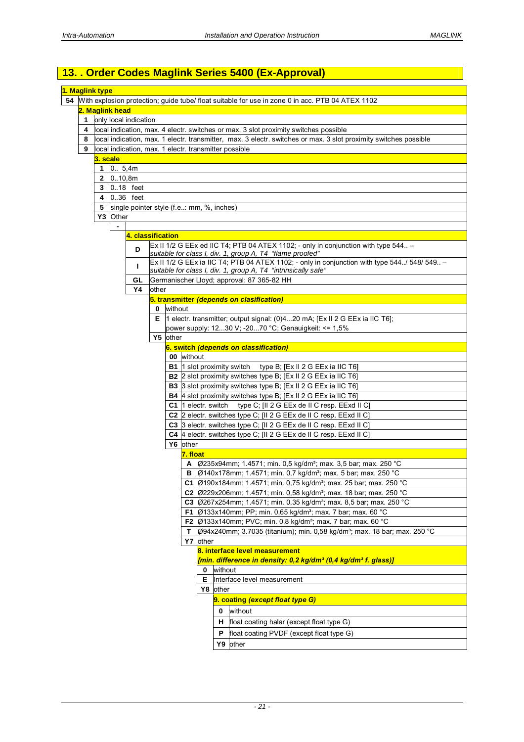# **13. . Order Codes Maglink Series 5400 (Ex-Approval)**

|                 | 1. Maglink type |                                                                                                                  |       |                                                                                                     |  |  |  |  |  |
|-----------------|-----------------|------------------------------------------------------------------------------------------------------------------|-------|-----------------------------------------------------------------------------------------------------|--|--|--|--|--|
|                 |                 |                                                                                                                  |       | 54 With explosion protection; guide tube/ float suitable for use in zone 0 in acc. PTB 04 ATEX 1102 |  |  |  |  |  |
| 2. Maglink head |                 |                                                                                                                  |       |                                                                                                     |  |  |  |  |  |
| 1               |                 | only local indication                                                                                            |       |                                                                                                     |  |  |  |  |  |
| 4               |                 | local indication, max. 4 electr. switches or max. 3 slot proximity switches possible                             |       |                                                                                                     |  |  |  |  |  |
| 8               |                 | local indication, max. 1 electr. transmitter, max. 3 electr. switches or max. 3 slot proximity switches possible |       |                                                                                                     |  |  |  |  |  |
| 9               |                 | local indication, max. 1 electr. transmitter possible                                                            |       |                                                                                                     |  |  |  |  |  |
|                 | 3. scale        |                                                                                                                  |       |                                                                                                     |  |  |  |  |  |
|                 | 0.5,4m<br>1     |                                                                                                                  |       |                                                                                                     |  |  |  |  |  |
|                 | 2               | 0.10,8m                                                                                                          |       |                                                                                                     |  |  |  |  |  |
|                 | 3               | 0.18 feet                                                                                                        |       |                                                                                                     |  |  |  |  |  |
|                 |                 | 4 0.36 feet                                                                                                      |       |                                                                                                     |  |  |  |  |  |
|                 | 5               |                                                                                                                  |       | single pointer style (f.e: mm, %, inches)                                                           |  |  |  |  |  |
|                 |                 | Y3 Other                                                                                                         |       |                                                                                                     |  |  |  |  |  |
|                 |                 | $\blacksquare$                                                                                                   |       |                                                                                                     |  |  |  |  |  |
|                 |                 | 4. classification                                                                                                |       |                                                                                                     |  |  |  |  |  |
|                 |                 |                                                                                                                  |       | Ex II 1/2 G EEx ed IIC T4; PTB 04 ATEX 1102; - only in conjunction with type 544 -                  |  |  |  |  |  |
|                 |                 | D                                                                                                                |       | suitable for class I, div. 1, group A, T4 "flame proofed"                                           |  |  |  |  |  |
|                 |                 |                                                                                                                  |       | Ex II 1/2 G EEx ia IIC T4; PTB 04 ATEX 1102; - only in conjunction with type 544./ 548/ 549 -       |  |  |  |  |  |
|                 |                 | п                                                                                                                |       | suitable for class I, div. 1, group A, T4 "intrinsically safe"                                      |  |  |  |  |  |
|                 |                 | GL                                                                                                               |       | Germanischer Lloyd; approval: 87 365-82 HH                                                          |  |  |  |  |  |
|                 |                 | Υ4                                                                                                               | other |                                                                                                     |  |  |  |  |  |
|                 |                 |                                                                                                                  |       | 5. transmitter (depends on clasification)                                                           |  |  |  |  |  |
|                 |                 |                                                                                                                  | 0     | without                                                                                             |  |  |  |  |  |
|                 |                 |                                                                                                                  |       | E  1 electr. transmitter; output signal: $(0)420$ mA; $[Ex II 2 G EEx i a IIC T6]$ ;                |  |  |  |  |  |
|                 |                 |                                                                                                                  |       | power supply: 1230 V; -2070 °C; Genauigkeit: <= $1,5\%$                                             |  |  |  |  |  |
|                 |                 |                                                                                                                  |       | Y5 other                                                                                            |  |  |  |  |  |
|                 |                 |                                                                                                                  |       | 6. switch (depends on classification)                                                               |  |  |  |  |  |
|                 |                 |                                                                                                                  |       | 00 without                                                                                          |  |  |  |  |  |
|                 |                 |                                                                                                                  |       |                                                                                                     |  |  |  |  |  |
|                 |                 |                                                                                                                  |       | <b>B1</b> 1 slot proximity switch<br>type B; [Ex II 2 G EEx ia IIC T6]                              |  |  |  |  |  |
|                 |                 |                                                                                                                  |       | B2 2 slot proximity switches type B; [Ex II 2 G EEx ia IIC T6]                                      |  |  |  |  |  |
|                 |                 |                                                                                                                  |       | <b>B3</b> 3 slot proximity switches type B; [Ex II 2 G EEx ia IIC T6]                               |  |  |  |  |  |
|                 |                 |                                                                                                                  |       | <b>B4</b> 4 slot proximity switches type B; [Ex II 2 G EEx ia IIC T6]                               |  |  |  |  |  |
|                 |                 |                                                                                                                  |       | C1 1 electr. switch<br>type C; [II 2 G EEx de II C resp. EExd II C]                                 |  |  |  |  |  |
|                 |                 |                                                                                                                  |       | C2 2 electr. switches type C; [II 2 G EEx de II C resp. EExd II C]                                  |  |  |  |  |  |
|                 |                 |                                                                                                                  |       | C3 3 electr. switches type C; [II 2 G EEx de II C resp. EExd II C]                                  |  |  |  |  |  |
|                 |                 |                                                                                                                  |       | C4 4 electr. switches type C; [II 2 G EEx de II C resp. EExd II C]                                  |  |  |  |  |  |
|                 |                 |                                                                                                                  |       | Y6 other                                                                                            |  |  |  |  |  |
|                 |                 |                                                                                                                  |       | 7. float                                                                                            |  |  |  |  |  |
|                 |                 |                                                                                                                  |       | Ø235x94mm; 1.4571; min. 0,5 kg/dm <sup>3</sup> ; max. 3,5 bar; max. 250 °C<br>A                     |  |  |  |  |  |
|                 |                 |                                                                                                                  |       | Ø140x178mm; 1.4571; min. 0,7 kg/dm <sup>3</sup> ; max. 5 bar; max. 250 °C<br>в                      |  |  |  |  |  |
|                 |                 |                                                                                                                  |       | C1 $\beta$ 190x184mm; 1.4571; min. 0,75 kg/dm <sup>3</sup> ; max. 25 bar; max. 250 °C               |  |  |  |  |  |
|                 |                 |                                                                                                                  |       | C2 Ø229x206mm; 1.4571; min. 0,58 kg/dm <sup>3</sup> ; max. 18 bar; max. 250 °C                      |  |  |  |  |  |
|                 |                 |                                                                                                                  |       | C3 Ø267x254mm; 1.4571; min. 0,35 kg/dm <sup>3</sup> ; max. 8,5 bar; max. 250 °C                     |  |  |  |  |  |
|                 |                 |                                                                                                                  |       | <b>F1</b> $\varnothing$ 133x140mm; PP; min. 0,65 kg/dm <sup>3</sup> ; max. 7 bar; max. 60 °C        |  |  |  |  |  |
|                 |                 |                                                                                                                  |       | F2 Ø133x140mm; PVC; min. 0,8 kg/dm <sup>3</sup> ; max. 7 bar; max. 60 °C                            |  |  |  |  |  |
|                 |                 |                                                                                                                  |       | Ø94x240mm; 3.7035 (titanium); min. 0,58 kg/dm <sup>3</sup> ; max. 18 bar; max. 250 °C<br>т.         |  |  |  |  |  |
|                 |                 |                                                                                                                  |       | Y7 other                                                                                            |  |  |  |  |  |
|                 |                 |                                                                                                                  |       | 8. interface level measurement                                                                      |  |  |  |  |  |
|                 |                 |                                                                                                                  |       | [min. difference in density: 0,2 kg/dm <sup>3</sup> (0,4 kg/dm <sup>3</sup> f. glass)]              |  |  |  |  |  |
|                 |                 |                                                                                                                  |       | 0 without                                                                                           |  |  |  |  |  |
|                 |                 |                                                                                                                  |       | <b>E</b> Interface level measurement                                                                |  |  |  |  |  |
|                 |                 |                                                                                                                  |       | Y8 other                                                                                            |  |  |  |  |  |
|                 |                 |                                                                                                                  |       | 9. coating (except float type G)                                                                    |  |  |  |  |  |
|                 |                 |                                                                                                                  |       | without<br>0                                                                                        |  |  |  |  |  |
|                 |                 |                                                                                                                  |       |                                                                                                     |  |  |  |  |  |
|                 |                 |                                                                                                                  |       | H   float coating halar (except float type G)                                                       |  |  |  |  |  |
|                 |                 |                                                                                                                  |       | float coating PVDF (except float type G)<br>P                                                       |  |  |  |  |  |
|                 |                 |                                                                                                                  |       | Y9 other                                                                                            |  |  |  |  |  |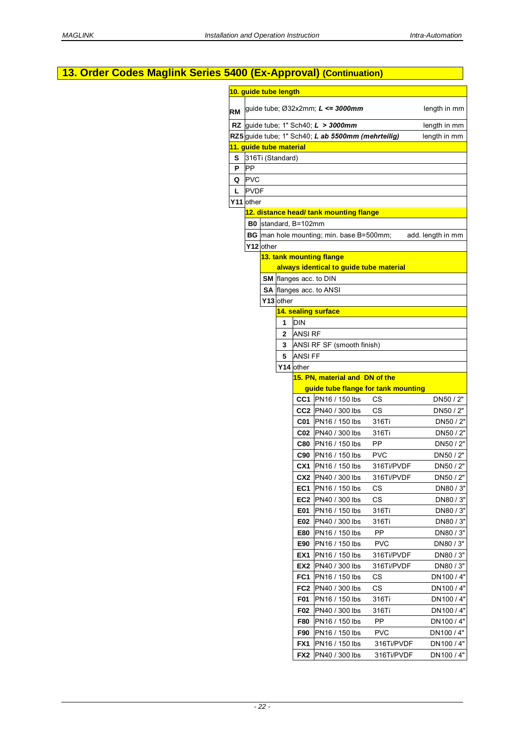| 13. Order Codes Maglink Series 5400 (Ex-Approval) (Continuation) |             |           |                         |                 |                                                    |             |                          |
|------------------------------------------------------------------|-------------|-----------|-------------------------|-----------------|----------------------------------------------------|-------------|--------------------------|
|                                                                  |             |           | 10. guide tube length   |                 |                                                    |             |                          |
|                                                                  |             |           |                         |                 |                                                    |             |                          |
| <b>RM</b>                                                        |             |           |                         |                 | guide tube; $\varnothing$ 32x2mm; $L \le 3000$ mm  |             | length in mm             |
|                                                                  |             |           |                         |                 | RZ guide tube; 1" Sch40; $L > 3000$ mm             |             | length in mm             |
|                                                                  |             |           |                         |                 | RZ5 guide tube; 1" Sch40; L ab 5500mm (mehrteilig) |             | length in mm             |
|                                                                  |             |           | 11. guide tube material |                 |                                                    |             |                          |
| s                                                                |             |           | 316Ti (Standard)        |                 |                                                    |             |                          |
| P                                                                | <b>PP</b>   |           |                         |                 |                                                    |             |                          |
| Q                                                                | <b>PVC</b>  |           |                         |                 |                                                    |             |                          |
| L                                                                | <b>PVDF</b> |           |                         |                 |                                                    |             |                          |
|                                                                  | Y11 other   |           |                         |                 |                                                    |             |                          |
|                                                                  |             |           |                         |                 | 12. distance head/ tank mounting flange            |             |                          |
|                                                                  |             |           | B0 standard, B=102mm    |                 |                                                    |             |                          |
|                                                                  |             |           |                         |                 | <b>BG</b> man hole mounting; min. base B=500mm;    |             | add. length in mm        |
|                                                                  |             | Y12 other |                         |                 |                                                    |             |                          |
|                                                                  |             |           |                         |                 | 13. tank mounting flange                           |             |                          |
|                                                                  |             |           |                         |                 | always identical to guide tube material            |             |                          |
|                                                                  |             |           |                         |                 | SM flanges acc. to DIN                             |             |                          |
|                                                                  |             |           |                         |                 | <b>SA flanges acc. to ANSI</b>                     |             |                          |
|                                                                  |             |           | Y13 other               |                 |                                                    |             |                          |
|                                                                  |             |           |                         |                 | 14. sealing surface                                |             |                          |
|                                                                  |             |           | <b>DIN</b><br>1         |                 |                                                    |             |                          |
|                                                                  |             |           | 2                       | <b>ANSI RF</b>  |                                                    |             |                          |
|                                                                  |             |           | 3                       |                 | ANSI RF SF (smooth finish)                         |             |                          |
|                                                                  |             |           | 5                       | <b>ANSI FF</b>  |                                                    |             |                          |
|                                                                  |             |           | Y14 other               |                 |                                                    |             |                          |
|                                                                  |             |           |                         |                 | 15. PN, material and DN of the                     |             |                          |
|                                                                  |             |           |                         |                 | guide tube flange for tank mounting                |             |                          |
|                                                                  |             |           |                         |                 | <b>CC1</b> PN16 / 150 lbs                          | CS          | DN50 / 2"                |
|                                                                  |             |           |                         |                 | CC2 PN40 / 300 lbs                                 | CS          | DN50 / 2"                |
|                                                                  |             |           |                         | C01             | PN16 / 150 lbs                                     | 316Ti       | DN50 / 2"                |
|                                                                  |             |           |                         |                 | C02 PN40 / 300 lbs                                 | 316Ti       | DN50 / 2"                |
|                                                                  |             |           |                         | <b>C80</b>      | PN16 / 150 lbs                                     | PP          | DN50 / 2"                |
|                                                                  |             |           |                         | C90             | <b>PN16 / 150 lbs</b>                              | <b>PVC</b>  | DN50 / 2"                |
|                                                                  |             |           |                         |                 | CX1 PN16 / 150 lbs                                 | 316Ti/PVDF  | DN50 / 2"                |
|                                                                  |             |           |                         | CX <sub>2</sub> | PN40 / 300 lbs                                     | 316Ti/PVDF  | DN50 / 2"                |
|                                                                  |             |           |                         |                 | <b>EC1</b>   PN16 / 150 lbs                        | CS          | DN80 / 3"                |
|                                                                  |             |           |                         | EC2             | PN40 / 300 lbs                                     | CS          | DN80 / 3"                |
|                                                                  |             |           |                         | E01             | PN16 / 150 lbs<br>PN40 / 300 lbs                   | 316Ti       | DN80 / 3"                |
|                                                                  |             |           |                         | E02<br>E80      | PN16 / 150 lbs                                     | 316Ti<br>PP | DN80 / 3"<br>DN80 / 3"   |
|                                                                  |             |           |                         | E90             | PN16 / 150 lbs                                     | <b>PVC</b>  | DN80 / 3"                |
|                                                                  |             |           |                         | EX1             | PN16 / 150 lbs                                     | 316Ti/PVDF  | DN80 / 3"                |
|                                                                  |             |           |                         | EX2             | PN40 / 300 lbs                                     | 316Ti/PVDF  | DN80 / 3"                |
|                                                                  |             |           |                         | FC <sub>1</sub> | PN16 / 150 lbs                                     | CS          | DN100 / 4"               |
|                                                                  |             |           |                         | FC <sub>2</sub> | PN40 / 300 lbs                                     | CS          |                          |
|                                                                  |             |           |                         | F01             |                                                    |             | DN100 / 4"               |
|                                                                  |             |           |                         |                 | PN16 / 150 lbs                                     | 316Ti       | DN100 / 4"               |
|                                                                  |             |           |                         | F02<br>F80      | PN40 / 300 lbs<br>PN16 / 150 lbs                   | 316Ti<br>PP | DN100 / 4"<br>DN100/4"   |
|                                                                  |             |           |                         | F90             |                                                    | <b>PVC</b>  |                          |
|                                                                  |             |           |                         | FX1             | PN16 / 150 lbs<br>PN16 / 150 lbs                   | 316Ti/PVDF  | DN100 / 4"<br>DN100 / 4" |
|                                                                  |             |           |                         | FX <sub>2</sub> | PN40 / 300 lbs                                     | 316Ti/PVDF  | DN100 / 4"               |
|                                                                  |             |           |                         |                 |                                                    |             |                          |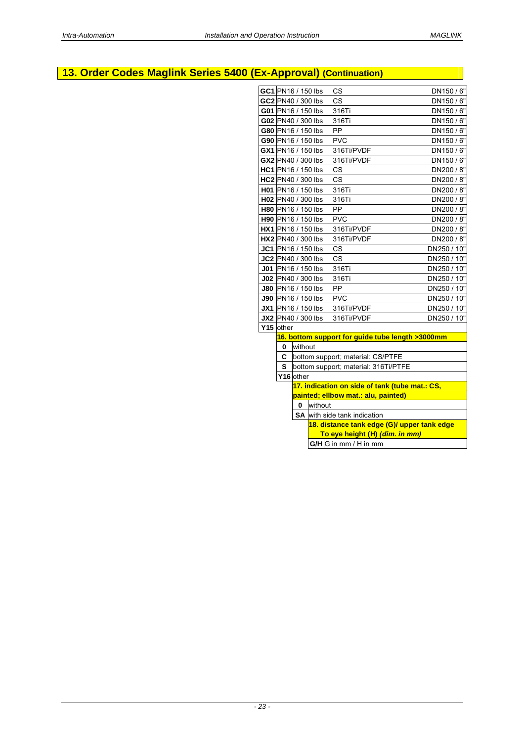# **13. Order Codes Maglink Series 5400 (Ex-Approval) (Continuation)**

| GC1 PN16 / 150 lbs        |           |         | <b>CS</b>                                                                             | DN150 / 6"  |
|---------------------------|-----------|---------|---------------------------------------------------------------------------------------|-------------|
| GC2 PN40 / 300 lbs        |           |         | $\mathsf{CS}\phantom{0}$                                                              | DN150/6"    |
| G01 PN16 / 150 lbs        |           |         | 316Ti                                                                                 | DN150/6"    |
| G02 PN40 / 300 lbs        |           |         | 316Ti                                                                                 | DN150/6"    |
| G80 PN16 / 150 lbs        |           |         | PP                                                                                    | DN150/6"    |
| G90 PN16 / 150 lbs        |           |         | <b>PVC</b>                                                                            | DN150/6"    |
| GX1 PN16 / 150 lbs        |           |         | 316Ti/PVDF                                                                            | DN150/6"    |
| GX2 PN40 / 300 lbs        |           |         | 316Ti/PVDF                                                                            | DN150/6"    |
| HC1 PN16 / 150 lbs        |           |         | <b>CS</b>                                                                             | DN200 / 8"  |
| HC2 PN40 / 300 lbs        |           |         | CS                                                                                    | DN200 / 8"  |
| H01 PN16 / 150 lbs        |           |         | 316Ti                                                                                 | DN200 / 8"  |
| H02 PN40 / 300 lbs        |           |         | 316Ti                                                                                 | DN200 / 8"  |
| H80 PN16 / 150 lbs        |           |         | PP                                                                                    | DN200 / 8"  |
| H90 PN16 / 150 lbs        |           |         | <b>PVC</b>                                                                            | DN200 / 8"  |
| HX1 PN16 / 150 lbs        |           |         | 316Ti/PVDF                                                                            | DN200 / 8"  |
| HX2 PN40 / 300 lbs        |           |         | 316Ti/PVDF                                                                            | DN200 / 8"  |
| JC1 PN16 / 150 lbs        |           |         | CS                                                                                    | DN250 / 10" |
| JC2 PN40 / 300 lbs        |           |         | <b>CS</b>                                                                             | DN250 / 10" |
| J01 PN16 / 150 lbs        |           |         | 316Ti                                                                                 | DN250 / 10" |
| J02 PN40 / 300 lbs        |           |         | 316Ti                                                                                 | DN250 / 10" |
| <b>J80 PN16 / 150 lbs</b> |           |         | PP                                                                                    | DN250 / 10" |
| J90 PN16 / 150 lbs        |           |         | <b>PVC</b>                                                                            | DN250 / 10" |
| <b>JX1</b> PN16 / 150 lbs |           |         | 316Ti/PVDF                                                                            | DN250 / 10" |
| <b>JX2</b> PN40 / 300 lbs |           |         | 316Ti/PVDF                                                                            | DN250 / 10" |
| $\overline{Y}$ 15 other   |           |         |                                                                                       |             |
|                           |           |         | 16. bottom support for guide tube length >3000mm                                      |             |
| 0                         | without   |         |                                                                                       |             |
| C                         |           |         | bottom support; material: CS/PTFE                                                     |             |
| S                         |           |         | bottom support; material: 316Ti/PTFE                                                  |             |
|                           | Y16 other |         |                                                                                       |             |
|                           |           |         | 17. indication on side of tank (tube mat.: CS,<br>painted; ellbow mat.: alu, painted) |             |
|                           | $\bf{0}$  | without |                                                                                       |             |
|                           |           |         |                                                                                       |             |
|                           |           |         | <b>SA</b> with side tank indication<br>18. distance tank edge (G)/ upper tank edge    |             |
|                           |           |         | To eye height (H) (dim. in mm)                                                        |             |
|                           |           |         | $G/H$ G in mm / H in mm                                                               |             |
|                           |           |         |                                                                                       |             |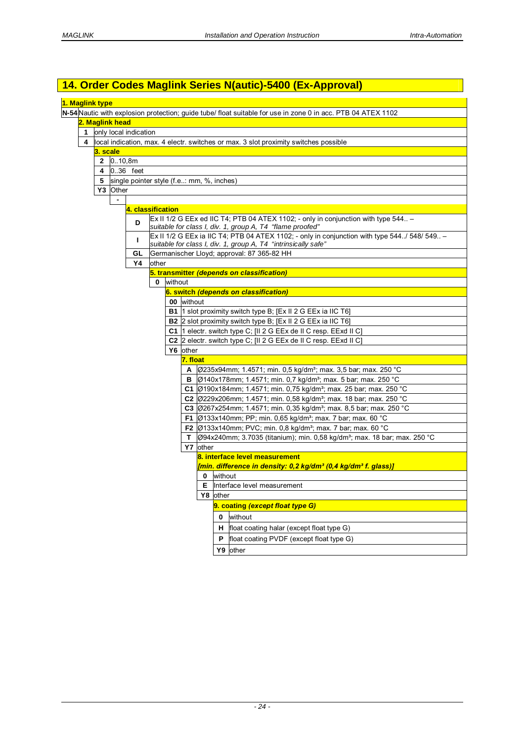# **14. Order Codes Maglink Series N(autic)-5400 (Ex-Approval)**

| 1. Maglink type |          |                 |                                           |       |         |                 |          |             |                                                                                                                                                                |
|-----------------|----------|-----------------|-------------------------------------------|-------|---------|-----------------|----------|-------------|----------------------------------------------------------------------------------------------------------------------------------------------------------------|
|                 |          |                 |                                           |       |         |                 |          |             | N-54 Nautic with explosion protection; guide tube/ float suitable for use in zone 0 in acc. PTB 04 ATEX 1102                                                   |
|                 |          | 2. Maglink head |                                           |       |         |                 |          |             |                                                                                                                                                                |
| 1               |          |                 | only local indication                     |       |         |                 |          |             |                                                                                                                                                                |
| 4               |          |                 |                                           |       |         |                 |          |             | local indication, max. 4 electr. switches or max. 3 slot proximity switches possible                                                                           |
|                 | 3. scale |                 |                                           |       |         |                 |          |             |                                                                                                                                                                |
|                 |          | 2 010,8m        |                                           |       |         |                 |          |             |                                                                                                                                                                |
|                 | 4        | 0.36 feet       |                                           |       |         |                 |          |             |                                                                                                                                                                |
|                 | 5        |                 | single pointer style (f.e: mm, %, inches) |       |         |                 |          |             |                                                                                                                                                                |
|                 |          | Y3 Other        |                                           |       |         |                 |          |             |                                                                                                                                                                |
|                 |          | $\blacksquare$  |                                           |       |         |                 |          |             |                                                                                                                                                                |
|                 |          |                 | 4. classification                         |       |         |                 |          |             |                                                                                                                                                                |
|                 |          |                 | D                                         |       |         |                 |          |             | Ex II 1/2 G EEx ed IIC T4; PTB 04 ATEX 1102; - only in conjunction with type $544 -$<br>suitable for class I, div. 1, group A, T4 "flame proofed"              |
|                 |          |                 | т                                         |       |         |                 |          |             | Ex II 1/2 G EEx ia IIC T4; PTB 04 ATEX 1102; - only in conjunction with type 544/ 548/ 549 -<br>suitable for class I, div. 1, group A, T4 "intrinsically safe" |
|                 |          |                 | GL                                        |       |         |                 |          |             | Germanischer Lloyd; approval: 87 365-82 HH                                                                                                                     |
|                 |          |                 | Υ4                                        | other |         |                 |          |             |                                                                                                                                                                |
|                 |          |                 |                                           |       |         |                 |          |             | 5. transmitter (depends on classification)                                                                                                                     |
|                 |          |                 |                                           | 0     | without |                 |          |             |                                                                                                                                                                |
|                 |          |                 |                                           |       |         |                 |          |             | 6. switch (depends on classification)                                                                                                                          |
|                 |          |                 |                                           |       |         | 00 without      |          |             |                                                                                                                                                                |
|                 |          |                 |                                           |       |         |                 |          |             | <b>B1</b> 1 slot proximity switch type B; [Ex II 2 G EEx ia IIC T6]                                                                                            |
|                 |          |                 |                                           |       |         |                 |          |             | B2 2 slot proximity switch type B; [Ex II 2 G EEx ia IIC T6]                                                                                                   |
|                 |          |                 |                                           |       |         |                 |          |             | C1 1 electr. switch type C; [II 2 G EEx de II C resp. EExd II C]                                                                                               |
|                 |          |                 |                                           |       |         |                 |          |             | C <sub>2</sub> 2 electr. switch type C; [II 2 G EEx de II C resp. EExd II C]                                                                                   |
|                 |          |                 |                                           |       |         | Y6 other        |          |             |                                                                                                                                                                |
|                 |          |                 |                                           |       |         | <u>7. float</u> |          |             |                                                                                                                                                                |
|                 |          |                 |                                           |       |         | A               |          |             | Ø235x94mm; 1.4571; min. 0,5 kg/dm <sup>3</sup> ; max. 3,5 bar; max. 250 °C                                                                                     |
|                 |          |                 |                                           |       |         |                 |          |             | B Ø140x178mm; 1.4571; min. 0,7 kg/dm <sup>3</sup> ; max. 5 bar; max. 250 °C                                                                                    |
|                 |          |                 |                                           |       |         |                 |          |             | C1 $\varphi$ 190x184mm; 1.4571; min. 0,75 kg/dm <sup>3</sup> ; max. 25 bar; max. 250 °C                                                                        |
|                 |          |                 |                                           |       |         |                 |          |             | C2 $\beta$ 229x206mm; 1.4571; min. 0,58 kg/dm <sup>3</sup> ; max. 18 bar; max. 250 °C                                                                          |
|                 |          |                 |                                           |       |         |                 |          |             | C3 $\varphi$ 267x254mm; 1.4571; min. 0,35 kg/dm <sup>3</sup> ; max. 8,5 bar; max. 250 °C                                                                       |
|                 |          |                 |                                           |       |         |                 |          |             | <b>F1</b> $\varphi$ 133x140mm; PP; min. 0,65 kg/dm <sup>3</sup> ; max. 7 bar; max. 60 °C                                                                       |
|                 |          |                 |                                           |       |         |                 |          |             | <b>F2</b> $\varnothing$ 133x140mm; PVC; min. 0.8 kg/dm <sup>3</sup> ; max. 7 bar; max. 60 °C                                                                   |
|                 |          |                 |                                           |       |         | Τ.              |          |             |                                                                                                                                                                |
|                 |          |                 |                                           |       |         |                 |          |             | Ø94x240mm; 3.7035 (titanium); min. 0,58 kg/dm <sup>3</sup> ; max. 18 bar; max. 250 °C                                                                          |
|                 |          |                 |                                           |       |         |                 | Y7 other |             | 8. interface level measurement                                                                                                                                 |
|                 |          |                 |                                           |       |         |                 |          |             |                                                                                                                                                                |
|                 |          |                 |                                           |       |         |                 |          | without     | [min. difference in density: 0,2 kg/dm <sup>3</sup> (0,4 kg/dm <sup>3</sup> f. glass)]                                                                         |
|                 |          |                 |                                           |       |         |                 | 0        |             |                                                                                                                                                                |
|                 |          |                 |                                           |       |         |                 | Е        |             | Interface level measurement                                                                                                                                    |
|                 |          |                 |                                           |       |         |                 |          | Y8 other    |                                                                                                                                                                |
|                 |          |                 |                                           |       |         |                 |          |             | 9. coating (except float type G)                                                                                                                               |
|                 |          |                 |                                           |       |         |                 |          | $\mathbf 0$ | without                                                                                                                                                        |
|                 |          |                 |                                           |       |         |                 |          | н           | float coating halar (except float type G)                                                                                                                      |
|                 |          |                 |                                           |       |         |                 |          | P           | float coating PVDF (except float type G)                                                                                                                       |
|                 |          |                 |                                           |       |         |                 |          |             | Y9 other                                                                                                                                                       |
|                 |          |                 |                                           |       |         |                 |          |             |                                                                                                                                                                |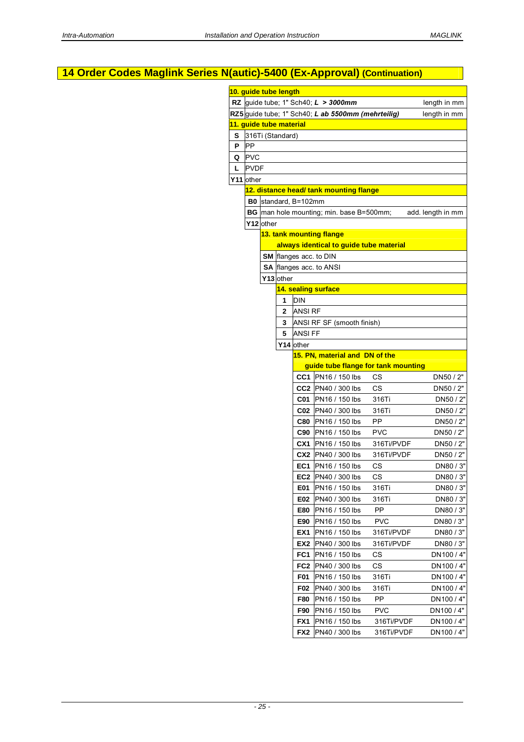# **14 Order Codes Maglink Series N(autic)-5400 (Ex-Approval) (Continuation)**

|    | 10. guide tube length   |           |              |                      |                                                    |            |                   |
|----|-------------------------|-----------|--------------|----------------------|----------------------------------------------------|------------|-------------------|
|    |                         |           |              |                      | RZ guide tube; 1" Sch40; $L > 3000$ mm             |            | length in mm      |
|    |                         |           |              |                      | RZ5 guide tube; 1" Sch40; L ab 5500mm (mehrteilig) |            | length in mm      |
|    | 11. guide tube material |           |              |                      |                                                    |            |                   |
|    | S 316Ti (Standard)      |           |              |                      |                                                    |            |                   |
| P  | PP                      |           |              |                      |                                                    |            |                   |
| Q  | <b>PVC</b>              |           |              |                      |                                                    |            |                   |
| L. | <b>PVDF</b>             |           |              |                      |                                                    |            |                   |
|    | Y11 other               |           |              |                      |                                                    |            |                   |
|    |                         |           |              |                      | 12. distance head/ tank mounting flange            |            |                   |
|    |                         |           |              | B0 standard, B=102mm |                                                    |            |                   |
|    |                         |           |              |                      | <b>BG</b> man hole mounting; min. base B=500mm;    |            | add. length in mm |
|    |                         | Y12 other |              |                      |                                                    |            |                   |
|    |                         |           |              |                      | 13. tank mounting flange                           |            |                   |
|    |                         |           |              |                      | always identical to guide tube material            |            |                   |
|    |                         |           |              |                      | SM flanges acc. to DIN                             |            |                   |
|    |                         |           |              |                      | SA flanges acc. to ANSI                            |            |                   |
|    |                         |           | Y13 other    |                      |                                                    |            |                   |
|    |                         |           | 1            | <b>DIN</b>           | 14. sealing surface                                |            |                   |
|    |                         |           | $\mathbf{2}$ |                      |                                                    |            |                   |
|    |                         |           | 3            | <b>ANSI RF</b>       |                                                    |            |                   |
|    |                         |           | 5            | <b>ANSI FF</b>       | ANSI RF SF (smooth finish)                         |            |                   |
|    |                         |           |              | Y14 other            |                                                    |            |                   |
|    |                         |           |              |                      | 15. PN, material and DN of the                     |            |                   |
|    |                         |           |              |                      | guide tube flange for tank mounting                |            |                   |
|    |                         |           |              |                      | CC1 PN16 / 150 lbs                                 | <b>CS</b>  | DN50 / 2"         |
|    |                         |           |              |                      | CC2 PN40 / 300 lbs                                 | <b>CS</b>  | DN50 / 2"         |
|    |                         |           |              |                      | C01 PN16 / 150 lbs                                 | 316Ti      | DN50 / 2"         |
|    |                         |           |              |                      | C02 PN40 / 300 lbs                                 | 316Ti      | DN50 / 2"         |
|    |                         |           |              |                      | C80 PN16 / 150 lbs                                 | PP         | DN50 / 2"         |
|    |                         |           |              |                      | C90 PN16 / 150 lbs                                 | <b>PVC</b> | DN50 / 2"         |
|    |                         |           |              |                      | <b>CX1</b> PN16 / 150 lbs                          | 316Ti/PVDF | DN50 / 2"         |
|    |                         |           |              |                      | <b>CX2</b> PN40 / 300 lbs                          | 316Ti/PVDF | DN50 / 2"         |
|    |                         |           |              |                      | <b>EC1</b> PN16 / 150 lbs                          | CS         | DN80 / 3"         |
|    |                         |           |              |                      | <b>EC2</b> PN40 / 300 lbs                          | СS         | DN80 / 3"         |
|    |                         |           |              | E01                  | PN16 / 150 lbs                                     | 316Ti      | DN80 / 3"         |
|    |                         |           |              | E02                  | PN40 / 300 lbs                                     | 316Ti      | DN80 / 3"         |
|    |                         |           |              | E80                  | PN16 / 150 lbs                                     | PP         | DN80 / 3"         |
|    |                         |           |              | E90                  | PN16 / 150 lbs                                     | <b>PVC</b> | DN80 / 3"         |
|    |                         |           |              | EX1                  | PN16 / 150 lbs                                     | 316Ti/PVDF | DN80 / 3"         |
|    |                         |           |              | EX2                  | PN40 / 300 lbs                                     | 316Ti/PVDF | DN80 / 3"         |
|    |                         |           |              | FC1                  | PN16 / 150 lbs                                     | CS         | DN100 / 4"        |
|    |                         |           |              | FC2                  | PN40 / 300 lbs                                     | CS         | DN100 / 4"        |
|    |                         |           |              | F01                  | PN16 / 150 lbs                                     | 316Ti      | DN100 / 4"        |
|    |                         |           |              | F02                  | PN40 / 300 lbs                                     | 316Ti      | DN100 / 4"        |
|    |                         |           |              | <b>F80</b>           | PN16 / 150 lbs                                     | PP         | DN100 / 4"        |
|    |                         |           |              | F90                  | PN16 / 150 lbs                                     | <b>PVC</b> | DN100 / 4"        |
|    |                         |           |              | FX1                  | PN16 / 150 lbs                                     | 316Ti/PVDF | DN100/4"          |
|    |                         |           |              | FX <sub>2</sub>      | PN40 / 300 lbs                                     | 316Ti/PVDF | DN100 / 4"        |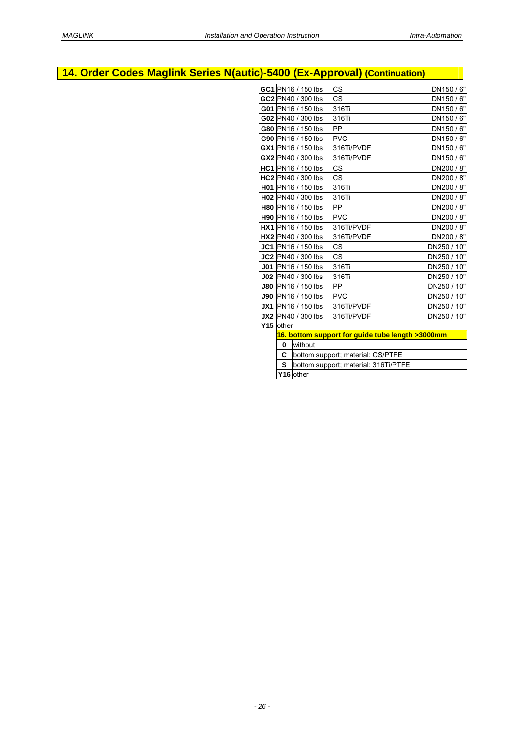# **14. Order Codes Maglink Series N(autic)-5400 (Ex-Approval) (Continuation)**

|           |          | GC1 PN16 / 150 lbs        | <b>CS</b>                                        | DN150/6"    |
|-----------|----------|---------------------------|--------------------------------------------------|-------------|
|           |          | GC2 PN40 / 300 lbs        | <b>CS</b>                                        | DN150/6"    |
|           |          | G01 PN16 / 150 lbs        | 316Ti                                            | DN150/6"    |
|           |          | G02 PN40 / 300 lbs        | 316Ti                                            | DN150/6"    |
|           |          | G80 PN16 / 150 lbs        | <b>PP</b>                                        | DN150/6"    |
|           |          | G90 PN16 / 150 lbs        | <b>PVC</b>                                       | DN150 / 6"  |
|           |          | GX1 PN16 / 150 lbs        | 316Ti/PVDF                                       | DN150/6"    |
|           |          | GX2 PN40 / 300 lbs        | 316Ti/PVDF                                       | DN150/6"    |
|           |          | <b>HC1</b> PN16 / 150 lbs | <b>CS</b>                                        | DN200 / 8"  |
|           |          | HC2 PN40 / 300 lbs        | <b>CS</b>                                        | DN200 / 8"  |
|           |          | H01 PN16 / 150 lbs        | 316Ti                                            | DN200 / 8"  |
|           |          | H02 PN40 / 300 lbs        | 316Ti                                            | DN200 / 8"  |
|           |          | <b>H80</b> PN16 / 150 lbs | <b>PP</b>                                        | DN200 / 8"  |
|           |          | <b>H90</b> PN16 / 150 lbs | <b>PVC</b>                                       | DN200 / 8"  |
|           |          | <b>HX1</b> PN16 / 150 lbs | 316Ti/PVDF                                       | DN200 / 8"  |
|           |          | <b>HX2</b> PN40 / 300 lbs | 316Ti/PVDF                                       | DN200 / 8"  |
|           |          | JC1 PN16 / 150 lbs        | <b>CS</b>                                        | DN250 / 10" |
|           |          | JC2 PN40 / 300 lbs        | CS                                               | DN250 / 10" |
|           |          | <b>J01</b> PN16 / 150 lbs | 316Ti                                            | DN250 / 10" |
|           |          | J02 PN40 / 300 lbs        | 316Ti                                            | DN250 / 10" |
|           |          | <b>J80 PN16 / 150 lbs</b> | PP                                               | DN250 / 10" |
|           |          | <b>J90</b> PN16 / 150 lbs | <b>PVC</b>                                       | DN250 / 10" |
|           |          | <b>JX1</b> PN16 / 150 lbs | 316Ti/PVDF                                       | DN250 / 10" |
|           |          | <b>JX2</b> PN40 / 300 lbs | 316Ti/PVDF                                       | DN250 / 10" |
| Y15 other |          |                           |                                                  |             |
|           |          |                           | 16. bottom support for quide tube length >3000mm |             |
|           | $\bf{0}$ | without                   |                                                  |             |
|           | C        |                           | bottom support; material: CS/PTFE                |             |
|           | S        |                           | bottom support; material: 316Ti/PTFE             |             |
|           |          | Y16 other                 |                                                  |             |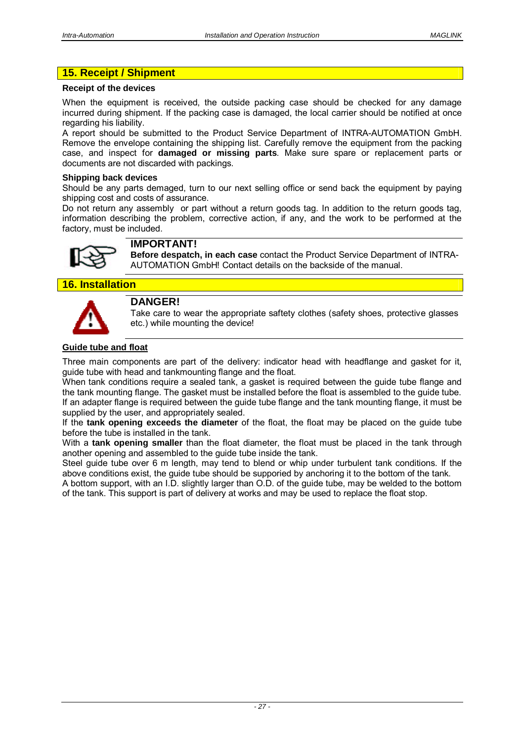# **15. Receipt / Shipment**

#### **Receipt of the devices**

When the equipment is received, the outside packing case should be checked for any damage incurred during shipment. If the packing case is damaged, the local carrier should be notified at once regarding his liability.

A report should be submitted to the Product Service Department of INTRA-AUTOMATION GmbH. Remove the envelope containing the shipping list. Carefully remove the equipment from the packing case, and inspect for **damaged or missing parts**. Make sure spare or replacement parts or documents are not discarded with packings.

#### **Shipping back devices**

Should be any parts demaged, turn to our next selling office or send back the equipment by paying shipping cost and costs of assurance.

Do not return any assembly or part without a return goods tag. In addition to the return goods tag, information describing the problem, corrective action, if any, and the work to be performed at the factory, must be included.



# **IMPORTANT!**

**Before despatch, in each case** contact the Product Service Department of INTRA-AUTOMATION GmbH! Contact details on the backside of the manual.

**16. Installation** 



# **DANGER!**

Take care to wear the appropriate saftety clothes (safety shoes, protective glasses etc.) while mounting the device!

# **Guide tube and float**

Three main components are part of the delivery: indicator head with headflange and gasket for it, guide tube with head and tankmounting flange and the float.

When tank conditions require a sealed tank, a gasket is required between the guide tube flange and the tank mounting flange. The gasket must be installed before the float is assembled to the guide tube. If an adapter flange is required between the guide tube flange and the tank mounting flange, it must be supplied by the user, and appropriately sealed.

If the **tank opening exceeds the diameter** of the float, the float may be placed on the guide tube before the tube is installed in the tank.

With a **tank opening smaller** than the float diameter, the float must be placed in the tank through another opening and assembled to the guide tube inside the tank.

Steel guide tube over 6 m length, may tend to blend or whip under turbulent tank conditions. If the above conditions exist, the guide tube should be supporied by anchoring it to the bottom of the tank.

A bottom support, with an I.D. slightly larger than O.D. of the guide tube, may be welded to the bottom of the tank. This support is part of delivery at works and may be used to replace the float stop.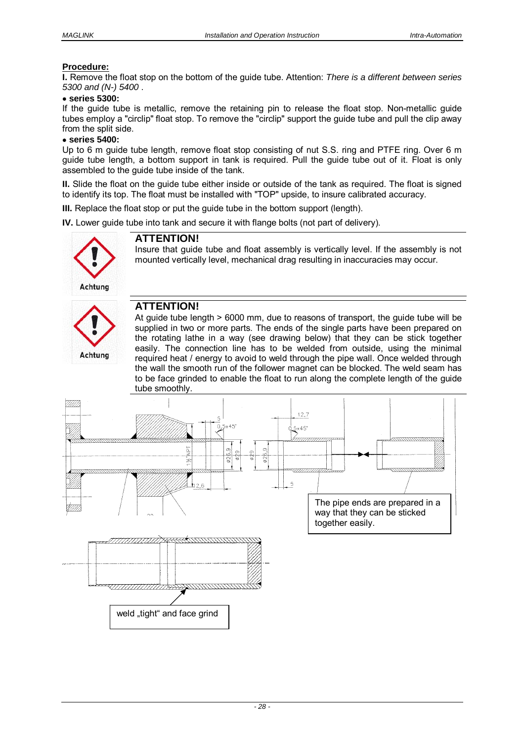## **Procedure:**

**I.** Remove the float stop on the bottom of the guide tube. Attention: *There is a different between series 5300 and (N-) 5400* .

#### **series 5300:**

If the guide tube is metallic, remove the retaining pin to release the float stop. Non-metallic guide tubes employ a "circlip" float stop. To remove the "circlip" support the guide tube and pull the clip away from the split side.

#### **series 5400:**

Up to 6 m guide tube length, remove float stop consisting of nut S.S. ring and PTFE ring. Over 6 m guide tube length, a bottom support in tank is required. Pull the guide tube out of it. Float is only assembled to the guide tube inside of the tank.

**II.** Slide the float on the guide tube either inside or outside of the tank as required. The float is signed to identify its top. The float must be installed with "TOP" upside, to insure calibrated accuracy.

**III.** Replace the float stop or put the quide tube in the bottom support (length).

**IV.** Lower guide tube into tank and secure it with flange bolts (not part of delivery).



# **ATTENTION!**

Insure that guide tube and float assembly is vertically level. If the assembly is not mounted vertically level, mechanical drag resulting in inaccuracies may occur.

# Achtung

# **ATTENTION!**

At guide tube length > 6000 mm, due to reasons of transport, the guide tube will be supplied in two or more parts. The ends of the single parts have been prepared on the rotating lathe in a way (see drawing below) that they can be stick together easily. The connection line has to be welded from outside, using the minimal required heat / energy to avoid to weld through the pipe wall. Once welded through the wall the smooth run of the follower magnet can be blocked. The weld seam has to be face grinded to enable the float to run along the complete length of the guide tube smoothly.

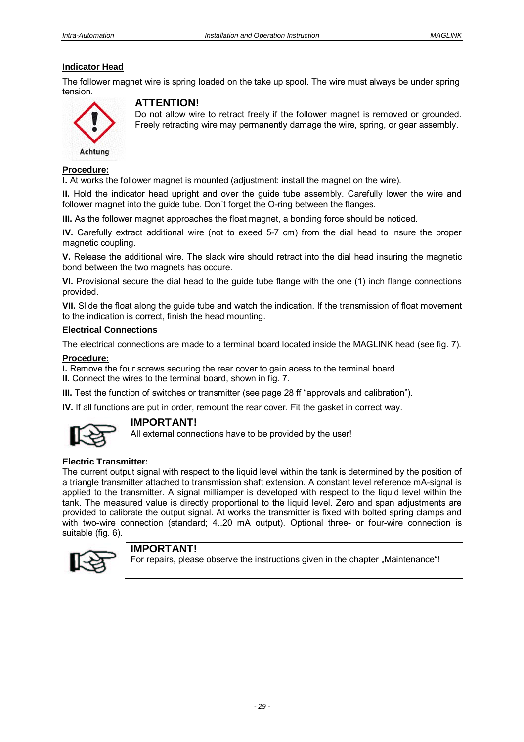# **Indicator Head**

The follower magnet wire is spring loaded on the take up spool. The wire must always be under spring tension.



# **ATTENTION!**

Do not allow wire to retract freely if the follower magnet is removed or grounded. Freely retracting wire may permanently damage the wire, spring, or gear assembly.

#### **Procedure:**

**I.** At works the follower magnet is mounted (adjustment: install the magnet on the wire).

**II.** Hold the indicator head upright and over the guide tube assembly. Carefully lower the wire and follower magnet into the guide tube. Don´t forget the O-ring between the flanges.

**III.** As the follower magnet approaches the float magnet, a bonding force should be noticed.

**IV.** Carefully extract additional wire (not to exeed 5-7 cm) from the dial head to insure the proper magnetic coupling.

**V.** Release the additional wire. The slack wire should retract into the dial head insuring the magnetic bond between the two magnets has occure.

**VI.** Provisional secure the dial head to the guide tube flange with the one (1) inch flange connections provided.

**VII.** Slide the float along the guide tube and watch the indication. If the transmission of float movement to the indication is correct, finish the head mounting.

#### **Electrical Connections**

The electrical connections are made to a terminal board located inside the MAGLINK head (see fig. 7).

#### **Procedure:**

**I.** Remove the four screws securing the rear cover to gain acess to the terminal board.

**II.** Connect the wires to the terminal board, shown in fig. 7.

**III.** Test the function of switches or transmitter (see page 28 ff "approvals and calibration").

**IV.** If all functions are put in order, remount the rear cover. Fit the gasket in correct way.



## **IMPORTANT!**

All external connections have to be provided by the user!

## **Electric Transmitter:**

The current output signal with respect to the liquid level within the tank is determined by the position of a triangle transmitter attached to transmission shaft extension. A constant level reference mA-signal is applied to the transmitter. A signal milliamper is developed with respect to the liquid level within the tank. The measured value is directly proportional to the liquid level. Zero and span adjustments are provided to calibrate the output signal. At works the transmitter is fixed with bolted spring clamps and with two-wire connection (standard; 4..20 mA output). Optional three- or four-wire connection is suitable (fig. 6).



## **IMPORTANT!**

For repairs, please observe the instructions given in the chapter "Maintenance"!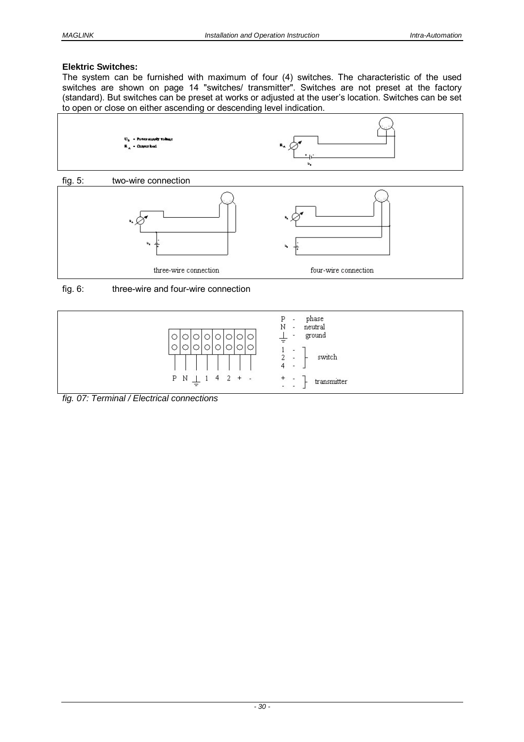## **Elektric Switches:**

The system can be furnished with maximum of four (4) switches. The characteristic of the used switches are shown on page 14 "switches/ transmitter". Switches are not preset at the factory (standard). But switches can be preset at works or adjusted at the user's location. Switches can be set to open or close on either ascending or descending level indication.



fig. 6: three-wire and four-wire connection



*fig. 07: Terminal / Electrical connections*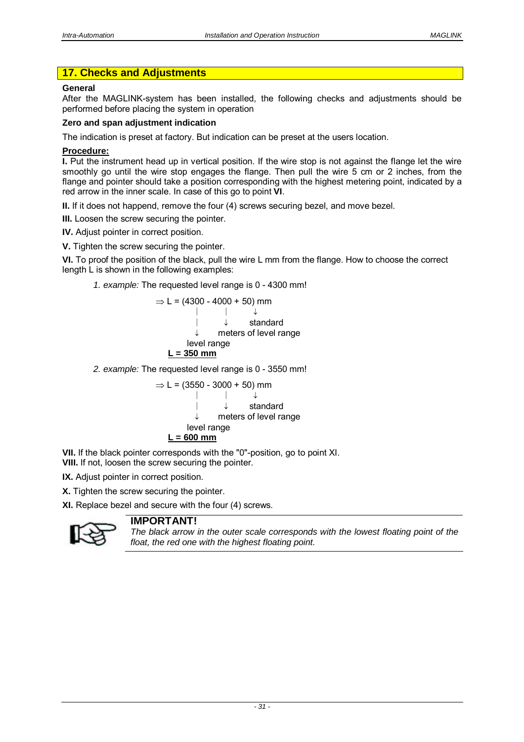# **17. Checks and Adjustments**

#### **General**

After the MAGLINK-system has been installed, the following checks and adjustments should be performed before placing the system in operation

#### **Zero and span adjustment indication**

The indication is preset at factory. But indication can be preset at the users location.

#### **Procedure:**

**I.** Put the instrument head up in vertical position. If the wire stop is not against the flange let the wire smoothly go until the wire stop engages the flange. Then pull the wire 5 cm or 2 inches, from the flange and pointer should take a position corresponding with the highest metering point, indicated by a red arrow in the inner scale. In case of this go to point **VI**.

**II.** If it does not happend, remove the four (4) screws securing bezel, and move bezel.

**III.** Loosen the screw securing the pointer.

**IV.** Adjust pointer in correct position.

**V.** Tighten the screw securing the pointer.

**VI.** To proof the position of the black, pull the wire L mm from the flange. How to choose the correct length L is shown in the following examples:

*1. example:* The requested level range is 0 - 4300 mm!

$$
\Rightarrow L = (4300 - 4000 + 50) \text{ mm}
$$
\n
$$
\downarrow \qquad \qquad \downarrow \qquad \qquad \downarrow
$$
\n
$$
\downarrow \qquad \qquad \downarrow
$$
\n
$$
\downarrow \qquad \qquad \downarrow
$$
\n
$$
\downarrow \qquad \qquad \downarrow
$$
\n
$$
\text{standard}
$$
\n
$$
\downarrow \qquad \text{set } \text{range}
$$
\n
$$
\underline{\mathsf{Level} \text{ range}}
$$
\n
$$
\underline{\mathsf{L = 350} \text{ mm}}
$$

*2. example:* The requested level range is 0 - 3550 mm!

$$
\Rightarrow L = (3550 - 3000 + 50) \text{ mm}
$$
\n
$$
\downarrow \qquad \qquad \downarrow \qquad \qquad \downarrow
$$
\n
$$
\downarrow \qquad \qquad \downarrow
$$
\n
$$
\downarrow \qquad \qquad \downarrow
$$
\n
$$
\downarrow \qquad \qquad \downarrow
$$
\n
$$
\text{teters of level range}
$$
\n
$$
\underline{\mathsf{L} = 600 \text{ mm}}
$$

**VII.** If the black pointer corresponds with the "0"-position, go to point XI. **VIII.** If not, loosen the screw securing the pointer.

**IX.** Adjust pointer in correct position.

**X.** Tighten the screw securing the pointer.

**XI.** Replace bezel and secure with the four (4) screws.



# **IMPORTANT!**

*The black arrow in the outer scale corresponds with the lowest floating point of the float, the red one with the highest floating point.*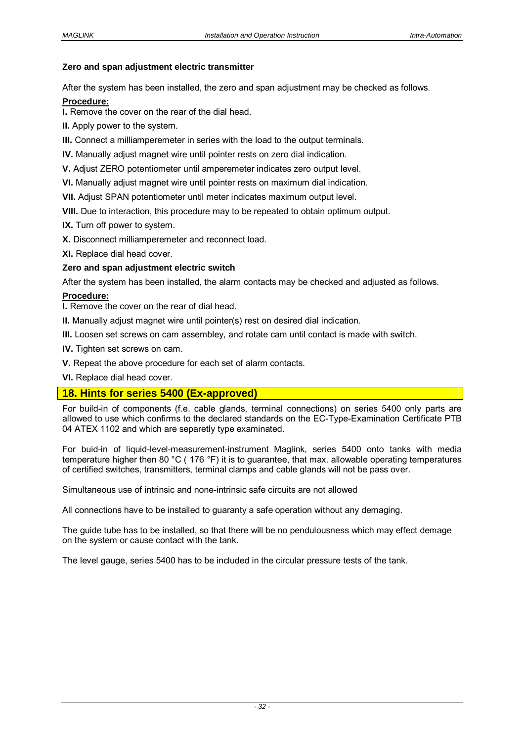#### **Zero and span adjustment electric transmitter**

After the system has been installed, the zero and span adjustment may be checked as follows.

#### **Procedure:**

**I.** Remove the cover on the rear of the dial head.

**II.** Apply power to the system.

**III.** Connect a milliamperemeter in series with the load to the output terminals.

**IV.** Manually adjust magnet wire until pointer rests on zero dial indication.

**V.** Adjust ZERO potentiometer until amperemeter indicates zero output level.

**VI.** Manually adjust magnet wire until pointer rests on maximum dial indication.

**VII.** Adjust SPAN potentiometer until meter indicates maximum output level.

**VIII.** Due to interaction, this procedure may to be repeated to obtain optimum output.

**IX.** Turn off power to system.

**X.** Disconnect milliamperemeter and reconnect load.

**XI.** Replace dial head cover.

#### **Zero and span adjustment electric switch**

After the system has been installed, the alarm contacts may be checked and adjusted as follows.

#### **Procedure:**

**I.** Remove the cover on the rear of dial head.

**II.** Manually adjust magnet wire until pointer(s) rest on desired dial indication.

**III.** Loosen set screws on cam assembley, and rotate cam until contact is made with switch.

**IV.** Tighten set screws on cam.

**V.** Repeat the above procedure for each set of alarm contacts.

**VI.** Replace dial head cover.

## **18. Hints for series 5400 (Ex-approved)**

For build-in of components (f.e. cable glands, terminal connections) on series 5400 only parts are allowed to use which confirms to the declared standards on the EC-Type-Examination Certificate PTB 04 ATEX 1102 and which are separetly type examinated.

For buid-in of liquid-level-measurement-instrument Maglink, series 5400 onto tanks with media temperature higher then 80 °C ( 176 °F) it is to guarantee, that max. allowable operating temperatures of certified switches, transmitters, terminal clamps and cable glands will not be pass over.

Simultaneous use of intrinsic and none-intrinsic safe circuits are not allowed

All connections have to be installed to guaranty a safe operation without any demaging.

The guide tube has to be installed, so that there will be no pendulousness which may effect demage on the system or cause contact with the tank.

The level gauge, series 5400 has to be included in the circular pressure tests of the tank.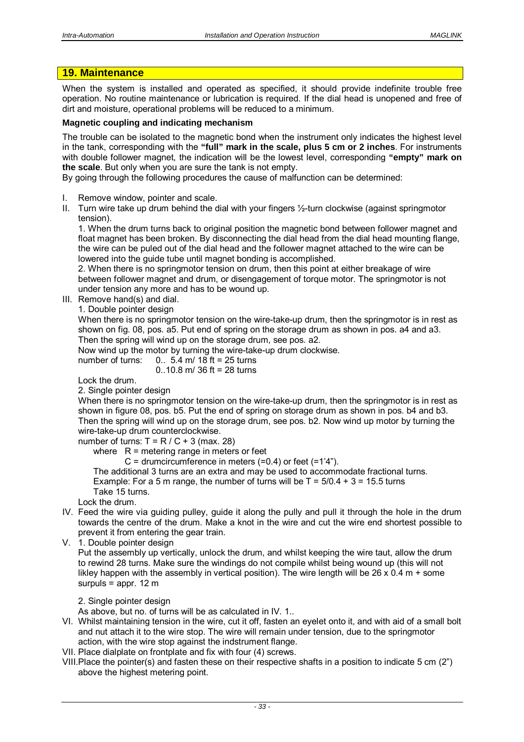# **19. Maintenance**

When the system is installed and operated as specified, it should provide indefinite trouble free operation. No routine maintenance or lubrication is required. If the dial head is unopened and free of dirt and moisture, operational problems will be reduced to a minimum.

#### **Magnetic coupling and indicating mechanism**

The trouble can be isolated to the magnetic bond when the instrument only indicates the highest level in the tank, corresponding with the **"full" mark in the scale, plus 5 cm or 2 inches**. For instruments with double follower magnet, the indication will be the lowest level, corresponding **"empty" mark on the scale**. But only when you are sure the tank is not empty.

By going through the following procedures the cause of malfunction can be determined:

- I. Remove window, pointer and scale.
- II. Turn wire take up drum behind the dial with your fingers ½-turn clockwise (against springmotor tension).

1. When the drum turns back to original position the magnetic bond between follower magnet and float magnet has been broken. By disconnecting the dial head from the dial head mounting flange, the wire can be puled out of the dial head and the follower magnet attached to the wire can be lowered into the guide tube until magnet bonding is accomplished.

2. When there is no springmotor tension on drum, then this point at either breakage of wire between follower magnet and drum, or disengagement of torque motor. The springmotor is not under tension any more and has to be wound up.

- III. Remove hand(s) and dial.
	- 1. Double pointer design

When there is no springmotor tension on the wire-take-up drum, then the springmotor is in rest as shown on fig. 08, pos. a5. Put end of spring on the storage drum as shown in pos. a4 and a3. Then the spring will wind up on the storage drum, see pos. a2.

Now wind up the motor by turning the wire-take-up drum clockwise.

number of turns:  $0.5.4$  m/ 18 ft = 25 turns

 $0.10.8$  m/ 36 ft = 28 turns

Lock the drum.

2. Single pointer design

When there is no springmotor tension on the wire-take-up drum, then the springmotor is in rest as shown in figure 08, pos. b5. Put the end of spring on storage drum as shown in pos. b4 and b3. Then the spring will wind up on the storage drum, see pos. b2. Now wind up motor by turning the wire-take-up drum counterclockwise.

number of turns:  $T = R / C + 3$  (max. 28)

where  $R =$  metering range in meters or feet

 $C =$  drumcircumference in meters (=0.4) or feet (=1'4").

 The additional 3 turns are an extra and may be used to accommodate fractional turns. Example: For a 5 m range, the number of turns will be  $T = 5/0.4 + 3 = 15.5$  turns Take 15 turns.

Lock the drum.

- IV. Feed the wire via guiding pulley, guide it along the pully and pull it through the hole in the drum towards the centre of the drum. Make a knot in the wire and cut the wire end shortest possible to prevent it from entering the gear train.
- V. 1. Double pointer design

Put the assembly up vertically, unlock the drum, and whilst keeping the wire taut, allow the drum to rewind 28 turns. Make sure the windings do not compile whilst being wound up (this will not likley happen with the assembly in vertical position). The wire length will be  $26 \times 0.4$  m + some surpuls = appr. 12 m

2. Single pointer design

As above, but no. of turns will be as calculated in IV. 1..

- VI. Whilst maintaining tension in the wire, cut it off, fasten an eyelet onto it, and with aid of a small bolt and nut attach it to the wire stop. The wire will remain under tension, due to the springmotor action, with the wire stop against the indstrument flange.
- VII. Place dialplate on frontplate and fix with four (4) screws.
- VIII. Place the pointer(s) and fasten these on their respective shafts in a position to indicate 5 cm (2") above the highest metering point.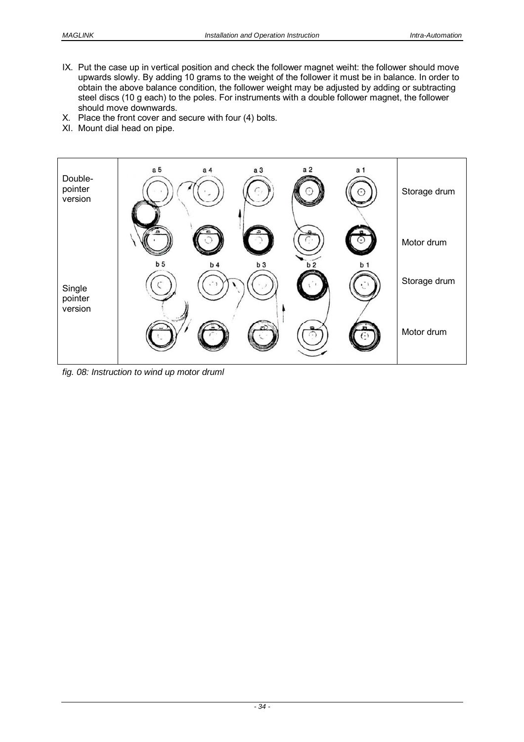- IX. Put the case up in vertical position and check the follower magnet weiht: the follower should move upwards slowly. By adding 10 grams to the weight of the follower it must be in balance. In order to obtain the above balance condition, the follower weight may be adjusted by adding or subtracting steel discs (10 g each) to the poles. For instruments with a double follower magnet, the follower should move downwards.
- X. Place the front cover and secure with four (4) bolts.
- XI. Mount dial head on pipe.



*fig. 08: Instruction to wind up motor druml*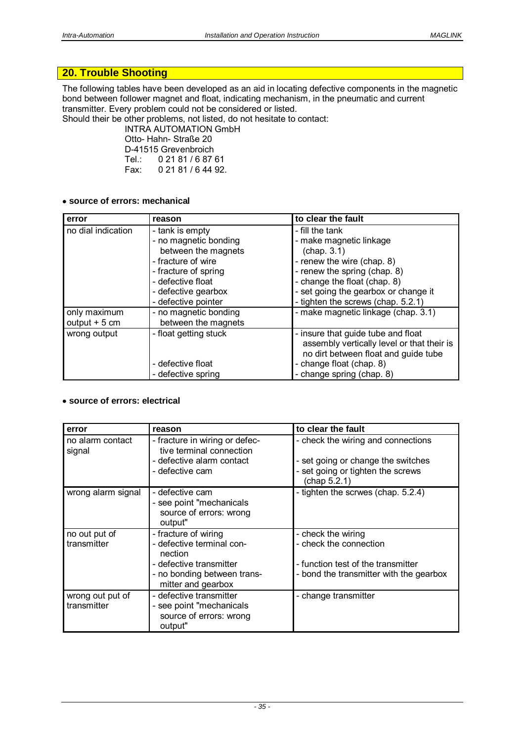# **20. Trouble Shooting**

The following tables have been developed as an aid in locating defective components in the magnetic bond between follower magnet and float, indicating mechanism, in the pneumatic and current transmitter. Every problem could not be considered or listed.

Should their be other problems, not listed, do not hesitate to contact:

 INTRA AUTOMATION GmbH Otto- Hahn- Straße 20 D-41515 Grevenbroich<br>Tel.: 0 21 81 / 6 87 0 21 81 / 6 87 61 Fax: 0 21 81 / 6 44 92.

#### **source of errors: mechanical**

| error              | reason                | to clear the fault                         |
|--------------------|-----------------------|--------------------------------------------|
| no dial indication | - tank is empty       | - fill the tank                            |
|                    | - no magnetic bonding | - make magnetic linkage                    |
|                    | between the magnets   | (char 3.1)                                 |
|                    | - fracture of wire    | - renew the wire (chap. 8)                 |
|                    | - fracture of spring  | - renew the spring (chap. 8)               |
|                    | - defective float     | - change the float (chap. 8)               |
|                    | - defective gearbox   | - set going the gearbox or change it       |
|                    | - defective pointer   | - tighten the screws (chap. 5.2.1)         |
| only maximum       | - no magnetic bonding | - make magnetic linkage (chap. 3.1)        |
| output $+5$ cm     | between the magnets   |                                            |
| wrong output       | - float getting stuck | - insure that guide tube and float         |
|                    |                       | assembly vertically level or that their is |
|                    |                       | no dirt between float and guide tube       |
|                    | - defective float     | - change float (chap. 8)                   |
|                    | - defective spring    | - change spring (chap. 8)                  |

#### **source of errors: electrical**

| error                           | reason                                                                                                                                       | to clear the fault                                                                                                            |
|---------------------------------|----------------------------------------------------------------------------------------------------------------------------------------------|-------------------------------------------------------------------------------------------------------------------------------|
| no alarm contact<br>signal      | - fracture in wiring or defec-<br>tive terminal connection<br>- defective alarm contact<br>- defective cam                                   | - check the wiring and connections<br>- set going or change the switches<br>- set going or tighten the screws<br>(chap 5.2.1) |
| wrong alarm signal              | - defective cam<br>- see point "mechanicals<br>source of errors: wrong<br>output"                                                            | - tighten the scrwes (chap. 5.2.4)                                                                                            |
| no out put of<br>transmitter    | - fracture of wiring<br>- defective terminal con-<br>nection<br>- defective transmitter<br>- no bonding between trans-<br>mitter and gearbox | - check the wiring<br>- check the connection<br>- function test of the transmitter<br>- bond the transmitter with the gearbox |
| wrong out put of<br>transmitter | - defective transmitter<br>- see point "mechanicals<br>source of errors: wrong<br>output"                                                    | - change transmitter                                                                                                          |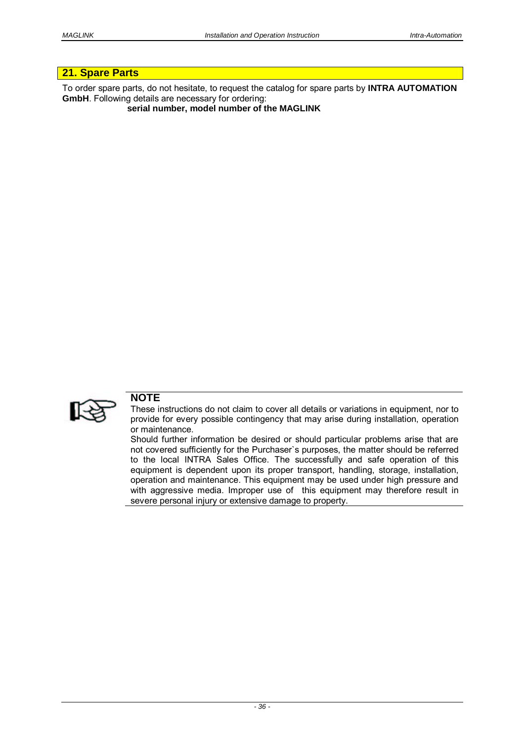# **21. Spare Parts**

To order spare parts, do not hesitate, to request the catalog for spare parts by **INTRA AUTOMATION GmbH**. Following details are necessary for ordering:

**serial number, model number of the MAGLINK** 



# **NOTE**

These instructions do not claim to cover all details or variations in equipment, nor to provide for every possible contingency that may arise during installation, operation or maintenance.

Should further information be desired or should particular problems arise that are not covered sufficiently for the Purchaser`s purposes, the matter should be referred to the local INTRA Sales Office. The successfully and safe operation of this equipment is dependent upon its proper transport, handling, storage, installation, operation and maintenance. This equipment may be used under high pressure and with aggressive media. Improper use of this equipment may therefore result in severe personal injury or extensive damage to property.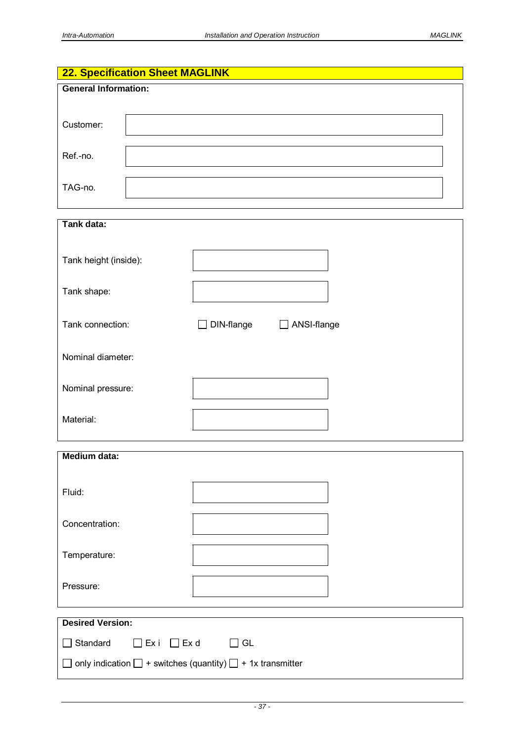# **22. Specification Sheet MAGLINK General Information:**  Customer: Ref.-no. TAG-no.

| Tank data:                                             |                             |  |  |
|--------------------------------------------------------|-----------------------------|--|--|
|                                                        |                             |  |  |
| Tank height (inside):                                  |                             |  |  |
|                                                        |                             |  |  |
|                                                        |                             |  |  |
| Tank shape:                                            |                             |  |  |
|                                                        |                             |  |  |
| Tank connection:                                       | DIN-flange<br>□ ANSI-flange |  |  |
|                                                        |                             |  |  |
|                                                        |                             |  |  |
| Nominal diameter:                                      |                             |  |  |
|                                                        |                             |  |  |
| Nominal pressure:                                      |                             |  |  |
|                                                        |                             |  |  |
|                                                        |                             |  |  |
| Material:                                              |                             |  |  |
|                                                        |                             |  |  |
| <b>Medium data:</b>                                    |                             |  |  |
|                                                        |                             |  |  |
|                                                        |                             |  |  |
| Fluid:                                                 |                             |  |  |
|                                                        |                             |  |  |
|                                                        |                             |  |  |
| Concentration:                                         |                             |  |  |
|                                                        |                             |  |  |
| Temperature:                                           |                             |  |  |
|                                                        |                             |  |  |
|                                                        |                             |  |  |
| Pressure:                                              |                             |  |  |
|                                                        |                             |  |  |
| <b>Desired Version:</b>                                |                             |  |  |
|                                                        |                             |  |  |
| $\Box$ Standard<br>$\Box$ Ex d<br>GL<br>$\square$ Ex i |                             |  |  |
|                                                        |                             |  |  |

 $\Box$  only indication  $\Box$  + switches (quantity)  $\Box$  + 1x transmitter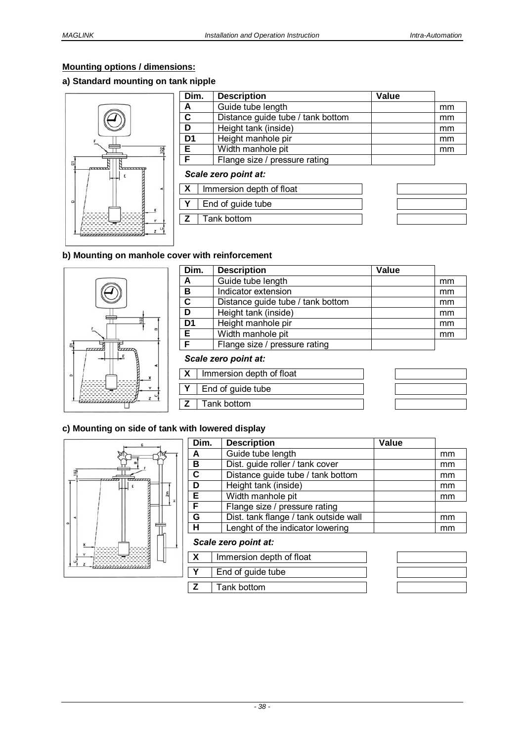# **Mounting options / dimensions:**

# **a) Standard mounting on tank nipple**



| Dim.                 |  | <b>Description</b>                | Value |    |
|----------------------|--|-----------------------------------|-------|----|
| A                    |  | Guide tube length                 |       | mm |
| $\mathbf c$          |  | Distance guide tube / tank bottom |       | mm |
| D                    |  | Height tank (inside)              |       | mm |
| D <sub>1</sub>       |  | Height manhole pir                |       | mm |
| Е                    |  | Width manhole pit                 |       | mm |
| F                    |  | Flange size / pressure rating     |       |    |
| Scale zero point at: |  |                                   |       |    |
| $\mathbf{X}$         |  | Immersion depth of float          |       |    |
| Y                    |  | End of guide tube                 |       |    |
| z                    |  | Tank bottom                       |       |    |
|                      |  |                                   |       |    |

## **b) Mounting on manhole cover with reinforcement**



| Dim.                      |  | <b>Description</b>                | Value |    |
|---------------------------|--|-----------------------------------|-------|----|
| A                         |  | Guide tube length                 |       | mm |
| B                         |  | Indicator extension               |       | mm |
| C                         |  | Distance guide tube / tank bottom |       | mm |
| D                         |  | Height tank (inside)              |       | mm |
| D <sub>1</sub>            |  | Height manhole pir                |       | mm |
| E.                        |  | Width manhole pit                 |       | mm |
| F                         |  | Flange size / pressure rating     |       |    |
| Scale zero point at:      |  |                                   |       |    |
| $\boldsymbol{\mathsf{X}}$ |  | Immersion depth of float          |       |    |
|                           |  | End of guide tube                 |       |    |
| z                         |  | Tank bottom                       |       |    |

#### **c) Mounting on side of tank with lowered display**



| Dim.                    | <b>Description</b>                    | Value |    |
|-------------------------|---------------------------------------|-------|----|
| A                       | Guide tube length                     |       | mm |
| в                       | Dist. guide roller / tank cover       |       | mm |
| $\overline{\mathbf{c}}$ | Distance guide tube / tank bottom     |       | mm |
| D                       | Height tank (inside)                  |       | mm |
| Έ                       | Width manhole pit                     |       | mm |
| F                       | Flange size / pressure rating         |       |    |
| G                       | Dist. tank flange / tank outside wall |       | mm |
| н                       | Lenght of the indicator lowering      |       | mm |
|                         |                                       |       |    |

#### *Scale zero point at:*

| Immersion depth of float |  |
|--------------------------|--|
| End of guide tube        |  |
| Tank bottom              |  |